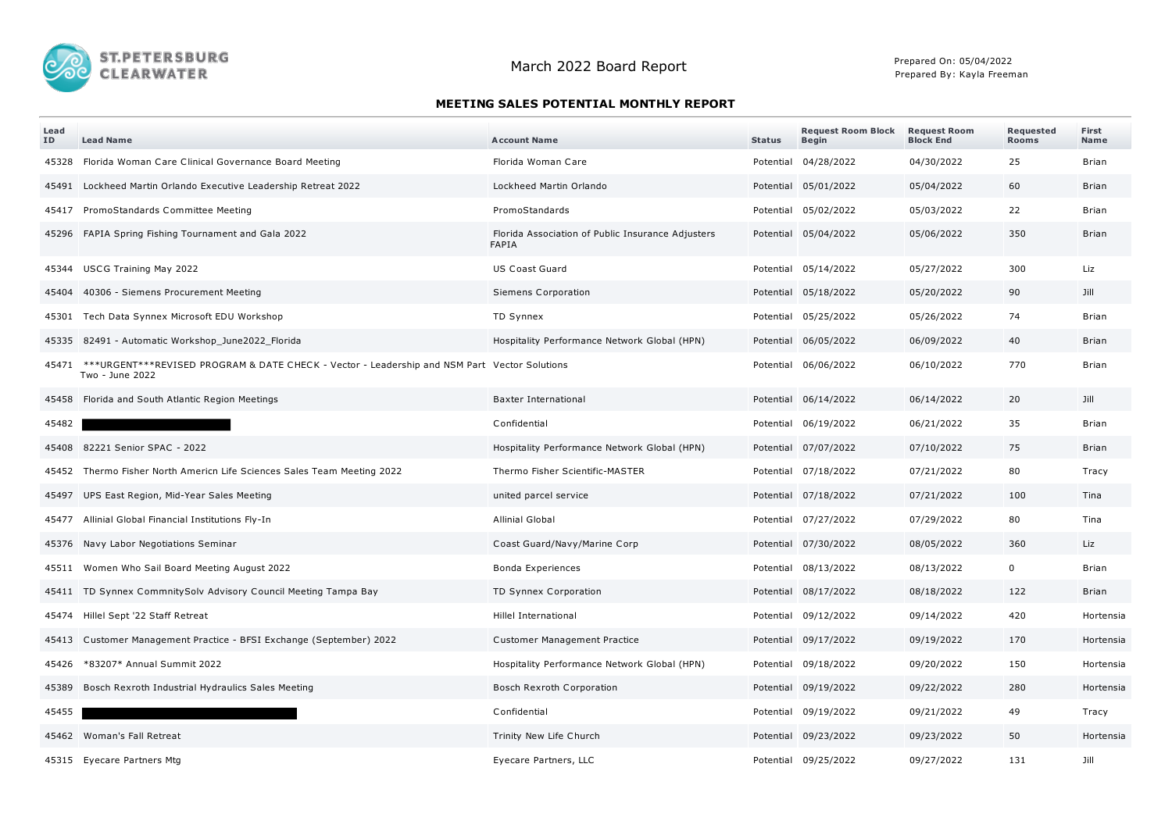

## **MEETING SALES POTENTIAL MONTHLY REPORT**

| Lead<br>ID | <b>Lead Name</b>                                                                                                | <b>Account Name</b>                                        | <b>Status</b> | <b>Request Room Block</b><br><b>Begin</b> | <b>Request Room</b><br><b>Block End</b> | Requested<br><b>Rooms</b> | First<br>Name |
|------------|-----------------------------------------------------------------------------------------------------------------|------------------------------------------------------------|---------------|-------------------------------------------|-----------------------------------------|---------------------------|---------------|
| 45328      | Florida Woman Care Clinical Governance Board Meeting                                                            | Florida Woman Care                                         |               | Potential 04/28/2022                      | 04/30/2022                              | 25                        | Brian         |
|            | 45491 Lockheed Martin Orlando Executive Leadership Retreat 2022                                                 | Lockheed Martin Orlando                                    |               | Potential 05/01/2022                      | 05/04/2022                              | 60                        | <b>Brian</b>  |
|            | 45417 PromoStandards Committee Meeting                                                                          | PromoStandards                                             |               | Potential 05/02/2022                      | 05/03/2022                              | 22                        | Brian         |
|            | 45296 FAPIA Spring Fishing Tournament and Gala 2022                                                             | Florida Association of Public Insurance Adjusters<br>FAPIA |               | Potential 05/04/2022                      | 05/06/2022                              | 350                       | Brian         |
|            | 45344 USCG Training May 2022                                                                                    | <b>US Coast Guard</b>                                      |               | Potential 05/14/2022                      | 05/27/2022                              | 300                       | Liz           |
| 45404      | 40306 - Siemens Procurement Meeting                                                                             | Siemens Corporation                                        |               | Potential 05/18/2022                      | 05/20/2022                              | 90                        | Jill          |
| 45301      | Tech Data Synnex Microsoft EDU Workshop                                                                         | TD Synnex                                                  |               | Potential 05/25/2022                      | 05/26/2022                              | 74                        | Brian         |
|            | 45335 82491 - Automatic Workshop_June2022_Florida                                                               | Hospitality Performance Network Global (HPN)               |               | Potential 06/05/2022                      | 06/09/2022                              | 40                        | <b>Brian</b>  |
| 45471      | ***URGENT***REVISED PROGRAM & DATE CHECK - Vector - Leadership and NSM Part Vector Solutions<br>Two - June 2022 |                                                            |               | Potential 06/06/2022                      | 06/10/2022                              | 770                       | Brian         |
|            | 45458 Florida and South Atlantic Region Meetings                                                                | <b>Baxter International</b>                                |               | Potential 06/14/2022                      | 06/14/2022                              | 20                        | Jill          |
| 45482      |                                                                                                                 | Confidential                                               |               | Potential 06/19/2022                      | 06/21/2022                              | 35                        | <b>Brian</b>  |
|            | 45408 82221 Senior SPAC - 2022                                                                                  | Hospitality Performance Network Global (HPN)               |               | Potential 07/07/2022                      | 07/10/2022                              | 75                        | Brian         |
| 45452      | Thermo Fisher North Americn Life Sciences Sales Team Meeting 2022                                               | Thermo Fisher Scientific-MASTER                            |               | Potential 07/18/2022                      | 07/21/2022                              | 80                        | Tracy         |
|            | 45497 UPS East Region, Mid-Year Sales Meeting                                                                   | united parcel service                                      |               | Potential 07/18/2022                      | 07/21/2022                              | 100                       | Tina          |
|            | 45477 Allinial Global Financial Institutions Fly-In                                                             | <b>Allinial Global</b>                                     |               | Potential 07/27/2022                      | 07/29/2022                              | 80                        | Tina          |
|            | 45376 Navy Labor Negotiations Seminar                                                                           | Coast Guard/Navy/Marine Corp                               |               | Potential 07/30/2022                      | 08/05/2022                              | 360                       | Liz           |
| 45511      | Women Who Sail Board Meeting August 2022                                                                        | Bonda Experiences                                          |               | Potential 08/13/2022                      | 08/13/2022                              | $\mathbf 0$               | <b>Brian</b>  |
|            | 45411 TD Synnex CommnitySolv Advisory Council Meeting Tampa Bay                                                 | TD Synnex Corporation                                      |               | Potential 08/17/2022                      | 08/18/2022                              | 122                       | Brian         |
|            | 45474 Hillel Sept '22 Staff Retreat                                                                             | Hillel International                                       |               | Potential 09/12/2022                      | 09/14/2022                              | 420                       | Hortensia     |
|            | 45413 Customer Management Practice - BFSI Exchange (September) 2022                                             | Customer Management Practice                               |               | Potential 09/17/2022                      | 09/19/2022                              | 170                       | Hortensia     |
| 45426      | *83207* Annual Summit 2022                                                                                      | Hospitality Performance Network Global (HPN)               |               | Potential 09/18/2022                      | 09/20/2022                              | 150                       | Hortensia     |
| 45389      | Bosch Rexroth Industrial Hydraulics Sales Meeting                                                               | Bosch Rexroth Corporation                                  |               | Potential 09/19/2022                      | 09/22/2022                              | 280                       | Hortensia     |
| 45455      |                                                                                                                 | Confidential                                               |               | Potential 09/19/2022                      | 09/21/2022                              | 49                        | Tracy         |
|            | 45462 Woman's Fall Retreat                                                                                      | Trinity New Life Church                                    |               | Potential 09/23/2022                      | 09/23/2022                              | 50                        | Hortensia     |
|            | 45315 Eyecare Partners Mtg                                                                                      | Eyecare Partners, LLC                                      |               | Potential 09/25/2022                      | 09/27/2022                              | 131                       | Jill          |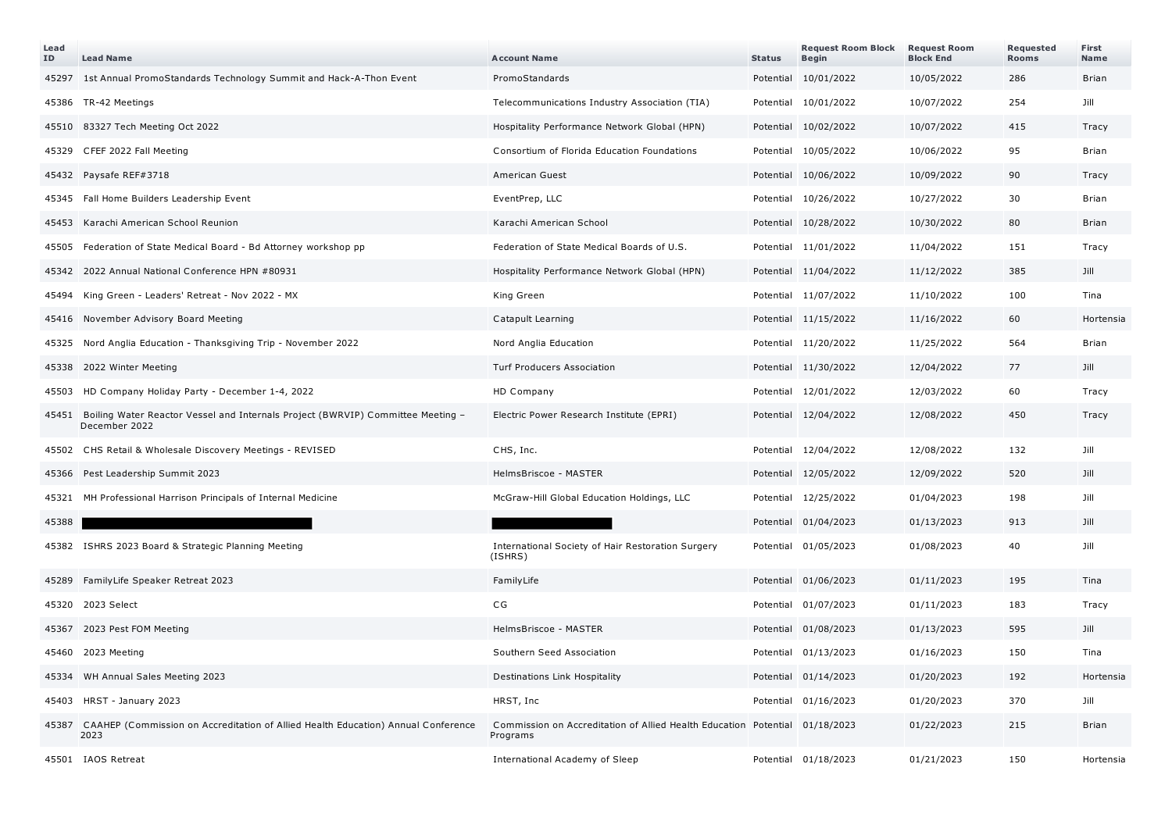| Lead<br>ID | <b>Lead Name</b>                                                                                       | <b>Account Name</b>                                                                     | <b>Status</b> | <b>Request Room Block</b><br><b>Begin</b> | <b>Request Room</b><br><b>Block End</b> | Requested<br><b>Rooms</b> | First<br>Name |
|------------|--------------------------------------------------------------------------------------------------------|-----------------------------------------------------------------------------------------|---------------|-------------------------------------------|-----------------------------------------|---------------------------|---------------|
|            | 45297 1st Annual PromoStandards Technology Summit and Hack-A-Thon Event                                | PromoStandards                                                                          |               | Potential 10/01/2022                      | 10/05/2022                              | 286                       | <b>Brian</b>  |
|            | 45386 TR-42 Meetings                                                                                   | Telecommunications Industry Association (TIA)                                           |               | Potential 10/01/2022                      | 10/07/2022                              | 254                       | Jill          |
|            | 45510 83327 Tech Meeting Oct 2022                                                                      | Hospitality Performance Network Global (HPN)                                            |               | Potential 10/02/2022                      | 10/07/2022                              | 415                       | Tracy         |
|            | 45329 CFEF 2022 Fall Meeting                                                                           | Consortium of Florida Education Foundations                                             |               | Potential 10/05/2022                      | 10/06/2022                              | 95                        | Brian         |
| 45432      | Paysafe REF#3718                                                                                       | American Guest                                                                          |               | Potential 10/06/2022                      | 10/09/2022                              | 90                        | Tracy         |
|            | 45345 Fall Home Builders Leadership Event                                                              | EventPrep, LLC                                                                          |               | Potential 10/26/2022                      | 10/27/2022                              | 30                        | Brian         |
| 45453      | Karachi American School Reunion                                                                        | Karachi American School                                                                 |               | Potential 10/28/2022                      | 10/30/2022                              | 80                        | <b>Brian</b>  |
| 45505      | Federation of State Medical Board - Bd Attorney workshop pp                                            | Federation of State Medical Boards of U.S.                                              |               | Potential 11/01/2022                      | 11/04/2022                              | 151                       | Tracy         |
| 45342      | 2022 Annual National Conference HPN #80931                                                             | Hospitality Performance Network Global (HPN)                                            |               | Potential 11/04/2022                      | 11/12/2022                              | 385                       | Jill          |
| 45494      | King Green - Leaders' Retreat - Nov 2022 - MX                                                          | King Green                                                                              |               | Potential 11/07/2022                      | 11/10/2022                              | 100                       | Tina          |
|            | 45416 November Advisory Board Meeting                                                                  | Catapult Learning                                                                       |               | Potential 11/15/2022                      | 11/16/2022                              | 60                        | Hortensia     |
|            | 45325 Nord Anglia Education - Thanksgiving Trip - November 2022                                        | Nord Anglia Education                                                                   |               | Potential 11/20/2022                      | 11/25/2022                              | 564                       | Brian         |
|            | 45338 2022 Winter Meeting                                                                              | <b>Turf Producers Association</b>                                                       |               | Potential 11/30/2022                      | 12/04/2022                              | 77                        | Jill          |
| 45503      | HD Company Holiday Party - December 1-4, 2022                                                          | HD Company                                                                              |               | Potential 12/01/2022                      | 12/03/2022                              | 60                        | Tracy         |
|            | 45451 Boiling Water Reactor Vessel and Internals Project (BWRVIP) Committee Meeting -<br>December 2022 | Electric Power Research Institute (EPRI)                                                |               | Potential 12/04/2022                      | 12/08/2022                              | 450                       | Tracy         |
|            | 45502 CHS Retail & Wholesale Discovery Meetings - REVISED                                              | CHS, Inc.                                                                               |               | Potential 12/04/2022                      | 12/08/2022                              | 132                       | Jill          |
|            | 45366 Pest Leadership Summit 2023                                                                      | HelmsBriscoe - MASTER                                                                   |               | Potential 12/05/2022                      | 12/09/2022                              | 520                       | Jill          |
|            | 45321 MH Professional Harrison Principals of Internal Medicine                                         | McGraw-Hill Global Education Holdings, LLC                                              |               | Potential 12/25/2022                      | 01/04/2023                              | 198                       | Jill          |
| 45388      |                                                                                                        |                                                                                         |               | Potential 01/04/2023                      | 01/13/2023                              | 913                       | Jill          |
|            | 45382 ISHRS 2023 Board & Strategic Planning Meeting                                                    | International Society of Hair Restoration Surgery<br>(ISHRS)                            |               | Potential 01/05/2023                      | 01/08/2023                              | 40                        | Jill          |
|            | 45289 FamilyLife Speaker Retreat 2023                                                                  | FamilyLife                                                                              |               | Potential 01/06/2023                      | 01/11/2023                              | 195                       | Tina          |
|            | 45320 2023 Select                                                                                      | CG                                                                                      |               | Potential 01/07/2023                      | 01/11/2023                              | 183                       | Tracy         |
|            | 45367 2023 Pest FOM Meeting                                                                            | HelmsBriscoe - MASTER                                                                   |               | Potential 01/08/2023                      | 01/13/2023                              | 595                       | Jill          |
| 45460      | 2023 Meeting                                                                                           | Southern Seed Association                                                               |               | Potential 01/13/2023                      | 01/16/2023                              | 150                       | Tina          |
|            | 45334 WH Annual Sales Meeting 2023                                                                     | Destinations Link Hospitality                                                           |               | Potential 01/14/2023                      | 01/20/2023                              | 192                       | Hortensia     |
|            | 45403 HRST - January 2023                                                                              | HRST, Inc                                                                               |               | Potential 01/16/2023                      | 01/20/2023                              | 370                       | Jill          |
|            | 45387 CAAHEP (Commission on Accreditation of Allied Health Education) Annual Conference<br>2023        | Commission on Accreditation of Allied Health Education Potential 01/18/2023<br>Programs |               |                                           | 01/22/2023                              | 215                       | <b>Brian</b>  |
|            | 45501 IAOS Retreat                                                                                     | International Academy of Sleep                                                          |               | Potential 01/18/2023                      | 01/21/2023                              | 150                       | Hortensia     |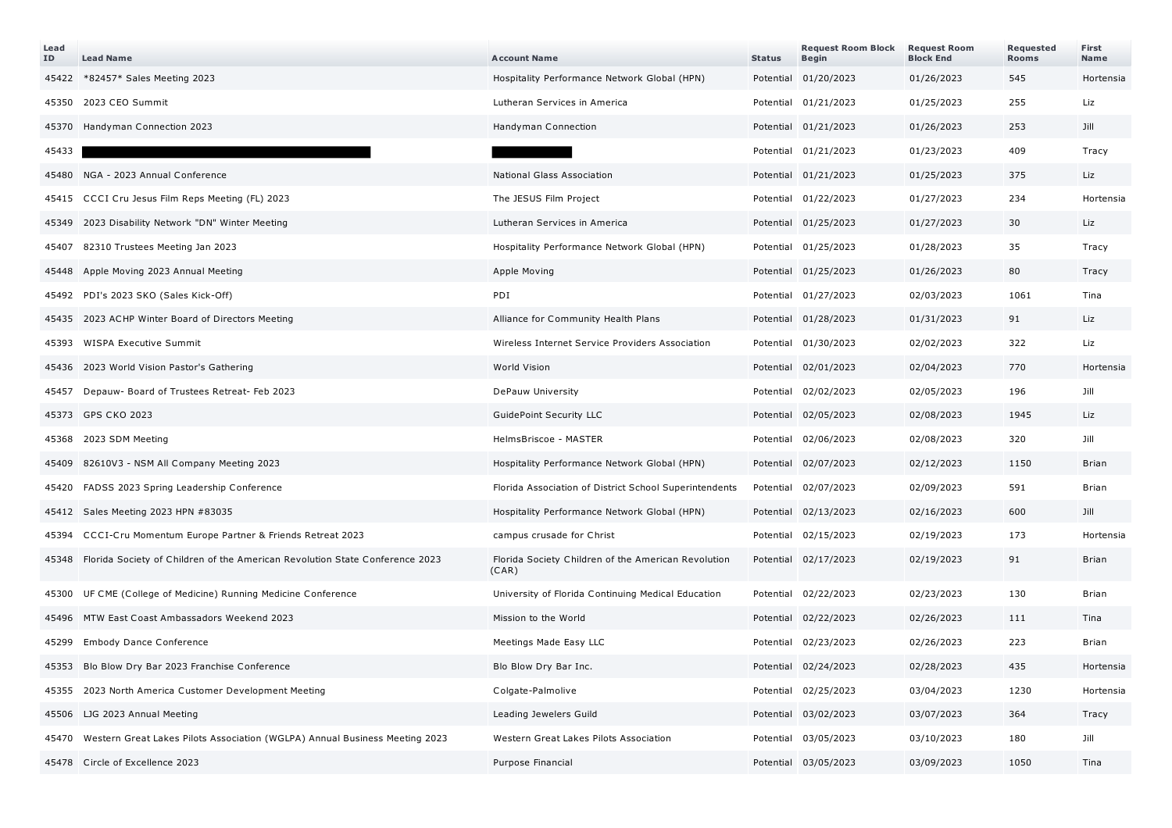| Lead<br>ID | <b>Lead Name</b>                                                                   | <b>Account Name</b>                                          | <b>Status</b> | <b>Request Room Block</b><br><b>Begin</b> | <b>Request Room</b><br><b>Block End</b> | Requested<br><b>Rooms</b> | First<br>Name |
|------------|------------------------------------------------------------------------------------|--------------------------------------------------------------|---------------|-------------------------------------------|-----------------------------------------|---------------------------|---------------|
|            | 45422 *82457* Sales Meeting 2023                                                   | Hospitality Performance Network Global (HPN)                 |               | Potential 01/20/2023                      | 01/26/2023                              | 545                       | Hortensia     |
|            | 45350 2023 CEO Summit                                                              | Lutheran Services in America                                 |               | Potential 01/21/2023                      | 01/25/2023                              | 255                       | Liz           |
|            | 45370 Handyman Connection 2023                                                     | Handyman Connection                                          |               | Potential 01/21/2023                      | 01/26/2023                              | 253                       | Jill          |
| 45433      |                                                                                    |                                                              |               | Potential 01/21/2023                      | 01/23/2023                              | 409                       | Tracy         |
|            | 45480 NGA - 2023 Annual Conference                                                 | National Glass Association                                   |               | Potential 01/21/2023                      | 01/25/2023                              | 375                       | Liz           |
|            | 45415 CCCI Cru Jesus Film Reps Meeting (FL) 2023                                   | The JESUS Film Project                                       |               | Potential 01/22/2023                      | 01/27/2023                              | 234                       | Hortensia     |
|            | 45349 2023 Disability Network "DN" Winter Meeting                                  | Lutheran Services in America                                 |               | Potential 01/25/2023                      | 01/27/2023                              | 30                        | Liz           |
| 45407      | 82310 Trustees Meeting Jan 2023                                                    | Hospitality Performance Network Global (HPN)                 |               | Potential 01/25/2023                      | 01/28/2023                              | 35                        | Tracy         |
|            | 45448 Apple Moving 2023 Annual Meeting                                             | Apple Moving                                                 |               | Potential 01/25/2023                      | 01/26/2023                              | 80                        | Tracy         |
|            | 45492 PDI's 2023 SKO (Sales Kick-Off)                                              | PDI                                                          |               | Potential 01/27/2023                      | 02/03/2023                              | 1061                      | Tina          |
|            | 45435 2023 ACHP Winter Board of Directors Meeting                                  | Alliance for Community Health Plans                          |               | Potential 01/28/2023                      | 01/31/2023                              | 91                        | Liz           |
| 45393      | WISPA Executive Summit                                                             | Wireless Internet Service Providers Association              |               | Potential 01/30/2023                      | 02/02/2023                              | 322                       | Liz           |
|            | 45436 2023 World Vision Pastor's Gathering                                         | World Vision                                                 |               | Potential 02/01/2023                      | 02/04/2023                              | 770                       | Hortensia     |
| 45457      | Depauw- Board of Trustees Retreat- Feb 2023                                        | DePauw University                                            |               | Potential 02/02/2023                      | 02/05/2023                              | 196                       | Jill          |
|            | 45373 GPS CKO 2023                                                                 | GuidePoint Security LLC                                      |               | Potential 02/05/2023                      | 02/08/2023                              | 1945                      | Liz           |
|            | 45368 2023 SDM Meeting                                                             | HelmsBriscoe - MASTER                                        |               | Potential 02/06/2023                      | 02/08/2023                              | 320                       | Jill          |
|            | 45409 82610V3 - NSM All Company Meeting 2023                                       | Hospitality Performance Network Global (HPN)                 |               | Potential 02/07/2023                      | 02/12/2023                              | 1150                      | Brian         |
|            | 45420 FADSS 2023 Spring Leadership Conference                                      | Florida Association of District School Superintendents       |               | Potential 02/07/2023                      | 02/09/2023                              | 591                       | Brian         |
|            | 45412 Sales Meeting 2023 HPN #83035                                                | Hospitality Performance Network Global (HPN)                 |               | Potential 02/13/2023                      | 02/16/2023                              | 600                       | Jill          |
|            | 45394 CCCI-Cru Momentum Europe Partner & Friends Retreat 2023                      | campus crusade for Christ                                    |               | Potential 02/15/2023                      | 02/19/2023                              | 173                       | Hortensia     |
|            | 45348 Florida Society of Children of the American Revolution State Conference 2023 | Florida Society Children of the American Revolution<br>(CAR) |               | Potential 02/17/2023                      | 02/19/2023                              | 91                        | Brian         |
|            | 45300 UF CME (College of Medicine) Running Medicine Conference                     | University of Florida Continuing Medical Education           |               | Potential 02/22/2023                      | 02/23/2023                              | 130                       | Brian         |
|            | 45496 MTW East Coast Ambassadors Weekend 2023                                      | Mission to the World                                         |               | Potential 02/22/2023                      | 02/26/2023                              | 111                       | Tina          |
|            | 45299 Embody Dance Conference                                                      | Meetings Made Easy LLC                                       |               | Potential 02/23/2023                      | 02/26/2023                              | 223                       | Brian         |
|            | 45353 Blo Blow Dry Bar 2023 Franchise Conference                                   | Blo Blow Dry Bar Inc.                                        |               | Potential 02/24/2023                      | 02/28/2023                              | 435                       | Hortensia     |
|            | 45355 2023 North America Customer Development Meeting                              | Colgate-Palmolive                                            |               | Potential 02/25/2023                      | 03/04/2023                              | 1230                      | Hortensia     |
|            | 45506 LJG 2023 Annual Meeting                                                      | Leading Jewelers Guild                                       |               | Potential 03/02/2023                      | 03/07/2023                              | 364                       | Tracy         |
|            | 45470 Western Great Lakes Pilots Association (WGLPA) Annual Business Meeting 2023  | Western Great Lakes Pilots Association                       |               | Potential 03/05/2023                      | 03/10/2023                              | 180                       | Jill          |
|            | 45478 Circle of Excellence 2023                                                    | Purpose Financial                                            |               | Potential 03/05/2023                      | 03/09/2023                              | 1050                      | Tina          |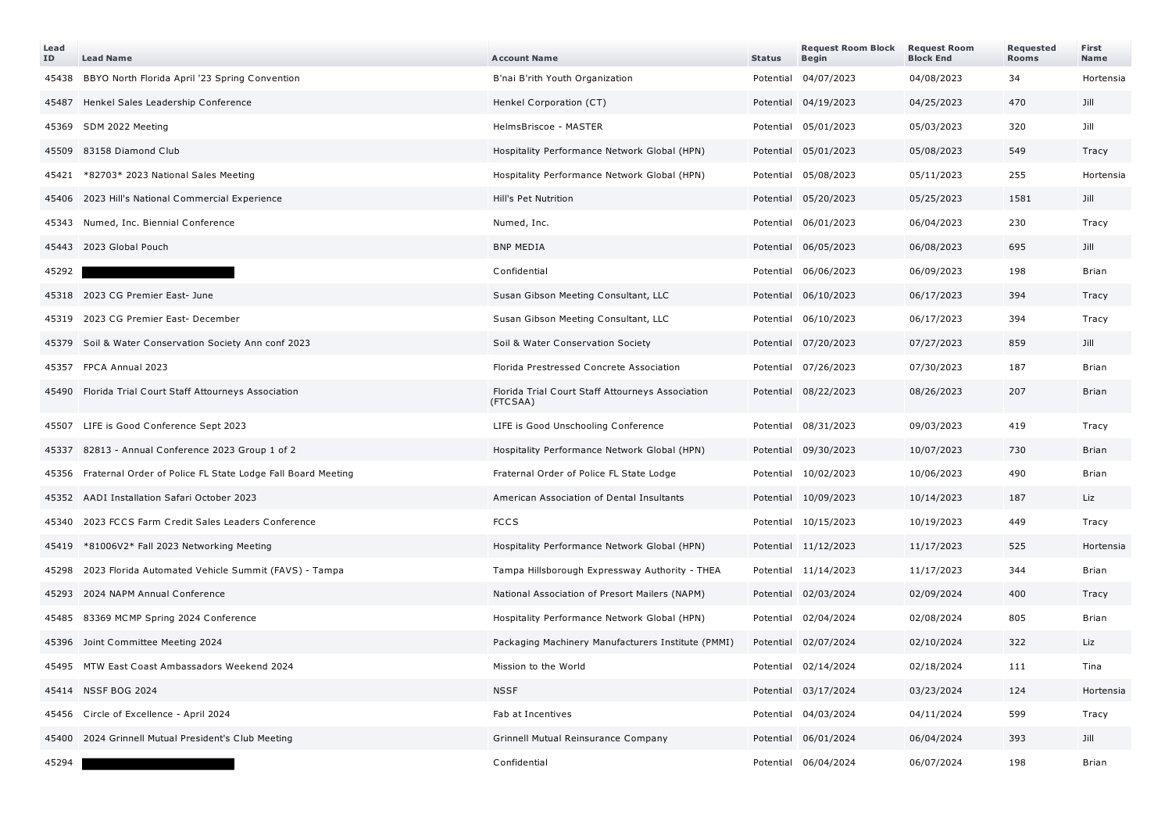| Lead<br>ID | <b>Lead Name</b>                                                  | <b>Account Name</b>                                          | <b>Status</b> | <b>Request Room Block</b><br><b>Begin</b> | <b>Request Room</b><br><b>Block End</b> | Requested<br><b>Rooms</b> | First<br><b>Name</b> |
|------------|-------------------------------------------------------------------|--------------------------------------------------------------|---------------|-------------------------------------------|-----------------------------------------|---------------------------|----------------------|
| 45438      | BBYO North Florida April '23 Spring Convention                    | B'nai B'rith Youth Organization                              | Potential     | 04/07/2023                                | 04/08/2023                              | 34                        | Hortensia            |
| 45487      | Henkel Sales Leadership Conference                                | Henkel Corporation (CT)                                      |               | Potential 04/19/2023                      | 04/25/2023                              | 470                       | Jill                 |
| 45369      | SDM 2022 Meeting                                                  | HelmsBriscoe - MASTER                                        |               | Potential 05/01/2023                      | 05/03/2023                              | 320                       | Jill                 |
| 45509      | 83158 Diamond Club                                                | Hospitality Performance Network Global (HPN)                 |               | Potential 05/01/2023                      | 05/08/2023                              | 549                       | Tracy                |
| 45421      | *82703* 2023 National Sales Meeting                               | Hospitality Performance Network Global (HPN)                 |               | Potential 05/08/2023                      | 05/11/2023                              | 255                       | Hortensia            |
|            | 45406 2023 Hill's National Commercial Experience                  | Hill's Pet Nutrition                                         |               | Potential 05/20/2023                      | 05/25/2023                              | 1581                      | Jill                 |
| 45343      | Numed, Inc. Biennial Conference                                   | Numed, Inc.                                                  |               | Potential 06/01/2023                      | 06/04/2023                              | 230                       | Tracy                |
|            | 45443 2023 Global Pouch                                           | <b>BNP MEDIA</b>                                             |               | Potential 06/05/2023                      | 06/08/2023                              | 695                       | Jill                 |
| 45292      |                                                                   | Confidential                                                 |               | Potential 06/06/2023                      | 06/09/2023                              | 198                       | <b>Brian</b>         |
|            | 45318 2023 CG Premier East- June                                  | Susan Gibson Meeting Consultant, LLC                         |               | Potential 06/10/2023                      | 06/17/2023                              | 394                       | Tracy                |
|            | 45319 2023 CG Premier East- December                              | Susan Gibson Meeting Consultant, LLC                         |               | Potential 06/10/2023                      | 06/17/2023                              | 394                       | Tracy                |
|            | 45379 Soil & Water Conservation Society Ann conf 2023             | Soil & Water Conservation Society                            |               | Potential 07/20/2023                      | 07/27/2023                              | 859                       | Jill                 |
|            | 45357 FPCA Annual 2023                                            | Florida Prestressed Concrete Association                     |               | Potential 07/26/2023                      | 07/30/2023                              | 187                       | Brian                |
|            | 45490 Florida Trial Court Staff Attourneys Association            | Florida Trial Court Staff Attourneys Association<br>(FTCSAA) |               | Potential 08/22/2023                      | 08/26/2023                              | 207                       | <b>Brian</b>         |
|            | 45507 LIFE is Good Conference Sept 2023                           | LIFE is Good Unschooling Conference                          |               | Potential 08/31/2023                      | 09/03/2023                              | 419                       | Tracy                |
| 45337      | 82813 - Annual Conference 2023 Group 1 of 2                       | Hospitality Performance Network Global (HPN)                 |               | Potential 09/30/2023                      | 10/07/2023                              | 730                       | <b>Brian</b>         |
|            | 45356 Fraternal Order of Police FL State Lodge Fall Board Meeting | Fraternal Order of Police FL State Lodge                     |               | Potential 10/02/2023                      | 10/06/2023                              | 490                       | Brian                |
|            | 45352 AADI Installation Safari October 2023                       | American Association of Dental Insultants                    |               | Potential 10/09/2023                      | 10/14/2023                              | 187                       | Liz                  |
| 45340      | 2023 FCCS Farm Credit Sales Leaders Conference                    | <b>FCCS</b>                                                  |               | Potential 10/15/2023                      | 10/19/2023                              | 449                       | Tracy                |
| 45419      | *81006V2* Fall 2023 Networking Meeting                            | Hospitality Performance Network Global (HPN)                 |               | Potential 11/12/2023                      | 11/17/2023                              | 525                       | Hortensia            |
|            | 45298 2023 Florida Automated Vehicle Summit (FAVS) - Tampa        | Tampa Hillsborough Expressway Authority - THEA               |               | Potential 11/14/2023                      | 11/17/2023                              | 344                       | <b>Brian</b>         |
| 45293      | 2024 NAPM Annual Conference                                       | National Association of Presort Mailers (NAPM)               |               | Potential 02/03/2024                      | 02/09/2024                              | 400                       | Tracy                |
|            | 45485 83369 MCMP Spring 2024 Conference                           | Hospitality Performance Network Global (HPN)                 |               | Potential 02/04/2024                      | 02/08/2024                              | 805                       | <b>Brian</b>         |
|            | 45396 Joint Committee Meeting 2024                                | Packaging Machinery Manufacturers Institute (PMMI)           |               | Potential 02/07/2024                      | 02/10/2024                              | 322                       | Liz                  |
|            | 45495 MTW East Coast Ambassadors Weekend 2024                     | Mission to the World                                         |               | Potential 02/14/2024                      | 02/18/2024                              | 111                       | Tina                 |
|            | 45414 NSSF BOG 2024                                               | <b>NSSF</b>                                                  |               | Potential 03/17/2024                      | 03/23/2024                              | 124                       | Hortensia            |
|            | 45456 Circle of Excellence - April 2024                           | Fab at Incentives                                            |               | Potential 04/03/2024                      | 04/11/2024                              | 599                       | Tracy                |
|            | 45400 2024 Grinnell Mutual President's Club Meeting               | Grinnell Mutual Reinsurance Company                          |               | Potential 06/01/2024                      | 06/04/2024                              | 393                       | Jill                 |
| 45294      |                                                                   | Confidential                                                 |               | Potential 06/04/2024                      | 06/07/2024                              | 198                       | Brian                |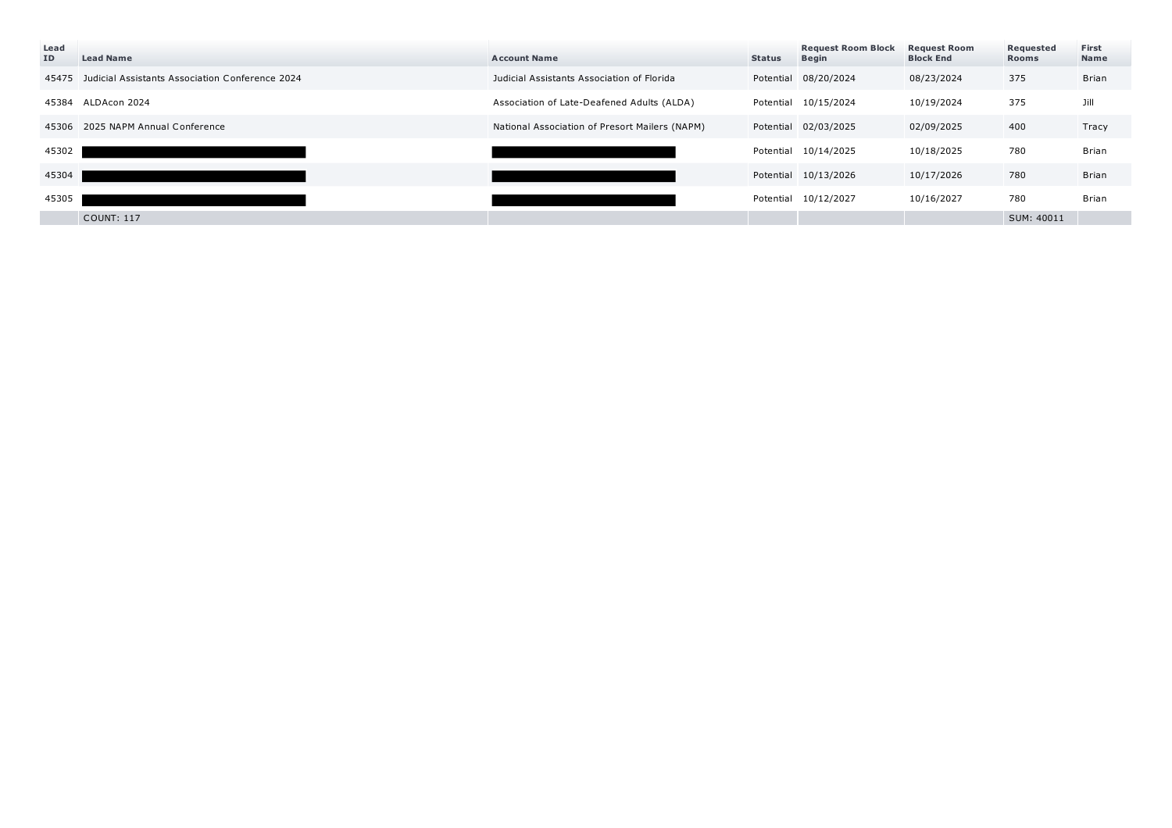| Lead<br>ID | <b>Lead Name</b>                                      | <b>Account Name</b>                            | <b>Status</b> | <b>Request Room Block</b><br><b>Begin</b> | <b>Request Room</b><br><b>Block End</b> | Requested<br><b>Rooms</b> | First<br>Name |
|------------|-------------------------------------------------------|------------------------------------------------|---------------|-------------------------------------------|-----------------------------------------|---------------------------|---------------|
|            | 45475 Judicial Assistants Association Conference 2024 | Judicial Assistants Association of Florida     | Potential     | 08/20/2024                                | 08/23/2024                              | 375                       | Brian         |
|            | 45384 ALDAcon 2024                                    | Association of Late-Deafened Adults (ALDA)     |               | Potential 10/15/2024                      | 10/19/2024                              | 375                       | Jill          |
|            | 45306 2025 NAPM Annual Conference                     | National Association of Presort Mailers (NAPM) |               | Potential 02/03/2025                      | 02/09/2025                              | 400                       | Tracy         |
| 45302      |                                                       |                                                |               | Potential 10/14/2025                      | 10/18/2025                              | 780                       | Brian         |
| 45304      |                                                       |                                                |               | Potential 10/13/2026                      | 10/17/2026                              | 780                       | Brian         |
| 45305      |                                                       |                                                |               | Potential 10/12/2027                      | 10/16/2027                              | 780                       | Brian         |
|            | <b>COUNT: 117</b>                                     |                                                |               |                                           |                                         | SUM: 40011                |               |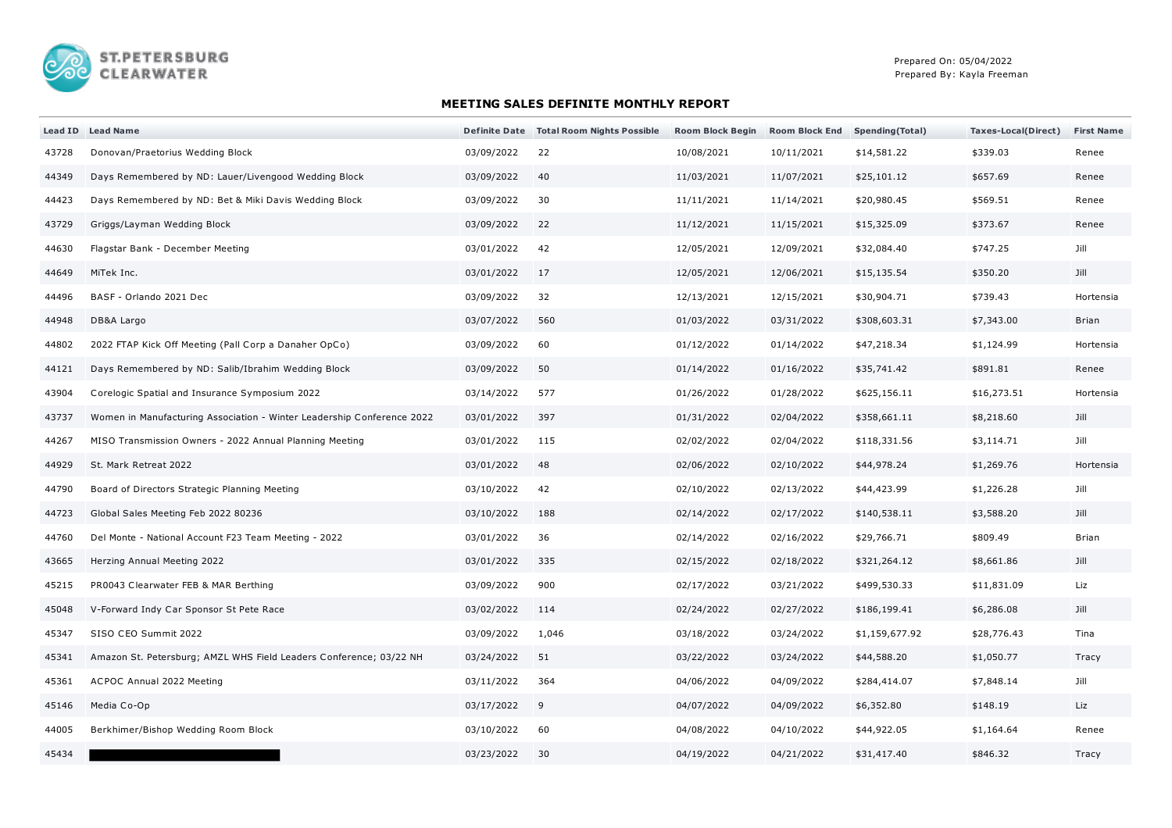

## **MEETING SALES DEFINITE MONTHLY REPORT**

|       | Lead ID Lead Name                                                      |            | Definite Date Total Room Nights Possible | <b>Room Block Begin</b> | <b>Room Block End</b> | <b>Spending (Total)</b> | Taxes-Local(Direct) | <b>First Name</b> |
|-------|------------------------------------------------------------------------|------------|------------------------------------------|-------------------------|-----------------------|-------------------------|---------------------|-------------------|
| 43728 | Donovan/Praetorius Wedding Block                                       | 03/09/2022 | 22                                       | 10/08/2021              | 10/11/2021            | \$14,581.22             | \$339.03            | Renee             |
| 44349 | Days Remembered by ND: Lauer/Livengood Wedding Block                   | 03/09/2022 | 40                                       | 11/03/2021              | 11/07/2021            | \$25,101.12             | \$657.69            | Renee             |
| 44423 | Days Remembered by ND: Bet & Miki Davis Wedding Block                  | 03/09/2022 | 30                                       | 11/11/2021              | 11/14/2021            | \$20,980.45             | \$569.51            | Renee             |
| 43729 | Griggs/Layman Wedding Block                                            | 03/09/2022 | 22                                       | 11/12/2021              | 11/15/2021            | \$15,325.09             | \$373.67            | Renee             |
| 44630 | Flagstar Bank - December Meeting                                       | 03/01/2022 | 42                                       | 12/05/2021              | 12/09/2021            | \$32,084.40             | \$747.25            | Jill              |
| 44649 | MiTek Inc.                                                             | 03/01/2022 | 17                                       | 12/05/2021              | 12/06/2021            | \$15,135.54             | \$350.20            | Jill              |
| 44496 | BASF - Orlando 2021 Dec                                                | 03/09/2022 | 32                                       | 12/13/2021              | 12/15/2021            | \$30,904.71             | \$739.43            | Hortensia         |
| 44948 | DB&A Largo                                                             | 03/07/2022 | 560                                      | 01/03/2022              | 03/31/2022            | \$308,603.31            | \$7,343.00          | <b>Brian</b>      |
| 44802 | 2022 FTAP Kick Off Meeting (Pall Corp a Danaher OpCo)                  | 03/09/2022 | 60                                       | 01/12/2022              | 01/14/2022            | \$47,218.34             | \$1,124.99          | Hortensia         |
| 44121 | Days Remembered by ND: Salib/Ibrahim Wedding Block                     | 03/09/2022 | 50                                       | 01/14/2022              | 01/16/2022            | \$35,741.42             | \$891.81            | Renee             |
| 43904 | Corelogic Spatial and Insurance Symposium 2022                         | 03/14/2022 | 577                                      | 01/26/2022              | 01/28/2022            | \$625,156.11            | \$16,273.51         | Hortensia         |
| 43737 | Women in Manufacturing Association - Winter Leadership Conference 2022 | 03/01/2022 | 397                                      | 01/31/2022              | 02/04/2022            | \$358,661.11            | \$8,218.60          | Jill              |
| 44267 | MISO Transmission Owners - 2022 Annual Planning Meeting                | 03/01/2022 | 115                                      | 02/02/2022              | 02/04/2022            | \$118,331.56            | \$3,114.71          | Jill              |
| 44929 | St. Mark Retreat 2022                                                  | 03/01/2022 | 48                                       | 02/06/2022              | 02/10/2022            | \$44,978.24             | \$1,269.76          | Hortensia         |
| 44790 | Board of Directors Strategic Planning Meeting                          | 03/10/2022 | 42                                       | 02/10/2022              | 02/13/2022            | \$44,423.99             | \$1,226.28          | Jill              |
| 44723 | Global Sales Meeting Feb 2022 80236                                    | 03/10/2022 | 188                                      | 02/14/2022              | 02/17/2022            | \$140,538.11            | \$3,588.20          | Jill              |
| 44760 | Del Monte - National Account F23 Team Meeting - 2022                   | 03/01/2022 | 36                                       | 02/14/2022              | 02/16/2022            | \$29,766.71             | \$809.49            | Brian             |
| 43665 | Herzing Annual Meeting 2022                                            | 03/01/2022 | 335                                      | 02/15/2022              | 02/18/2022            | \$321,264.12            | \$8,661.86          | Jill              |
| 45215 | PR0043 Clearwater FEB & MAR Berthing                                   | 03/09/2022 | 900                                      | 02/17/2022              | 03/21/2022            | \$499,530.33            | \$11,831.09         | Liz               |
| 45048 | V-Forward Indy Car Sponsor St Pete Race                                | 03/02/2022 | 114                                      | 02/24/2022              | 02/27/2022            | \$186,199.41            | \$6,286.08          | Jill              |
| 45347 | SISO CEO Summit 2022                                                   | 03/09/2022 | 1,046                                    | 03/18/2022              | 03/24/2022            | \$1,159,677.92          | \$28,776.43         | Tina              |
| 45341 | Amazon St. Petersburg; AMZL WHS Field Leaders Conference; 03/22 NH     | 03/24/2022 | 51                                       | 03/22/2022              | 03/24/2022            | \$44,588.20             | \$1,050.77          | Tracy             |
| 45361 | ACPOC Annual 2022 Meeting                                              | 03/11/2022 | 364                                      | 04/06/2022              | 04/09/2022            | \$284,414.07            | \$7,848.14          | Jill              |
| 45146 | Media Co-Op                                                            | 03/17/2022 | 9                                        | 04/07/2022              | 04/09/2022            | \$6,352.80              | \$148.19            | Liz               |
| 44005 | Berkhimer/Bishop Wedding Room Block                                    | 03/10/2022 | 60                                       | 04/08/2022              | 04/10/2022            | \$44,922.05             | \$1,164.64          | Renee             |
| 45434 |                                                                        | 03/23/2022 | 30                                       | 04/19/2022              | 04/21/2022            | \$31,417.40             | \$846.32            | Tracy             |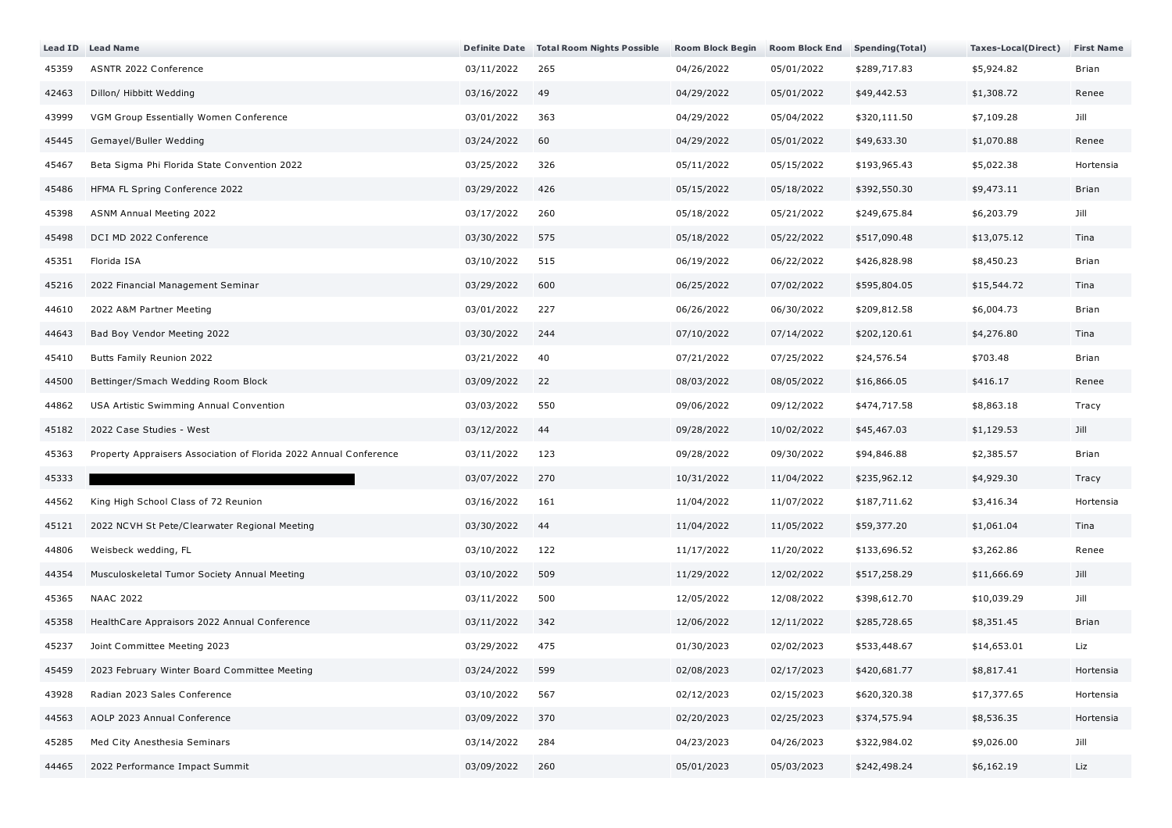|       | Lead ID Lead Name                                                 |            | Definite Date Total Room Nights Possible | <b>Room Block Begin</b> | <b>Room Block End</b> | <b>Spending (Total)</b> | Taxes-Local(Direct) | <b>First Name</b> |
|-------|-------------------------------------------------------------------|------------|------------------------------------------|-------------------------|-----------------------|-------------------------|---------------------|-------------------|
| 45359 | ASNTR 2022 Conference                                             | 03/11/2022 | 265                                      | 04/26/2022              | 05/01/2022            | \$289,717.83            | \$5,924.82          | Brian             |
| 42463 | Dillon/ Hibbitt Wedding                                           | 03/16/2022 | 49                                       | 04/29/2022              | 05/01/2022            | \$49,442.53             | \$1,308.72          | Renee             |
| 43999 | VGM Group Essentially Women Conference                            | 03/01/2022 | 363                                      | 04/29/2022              | 05/04/2022            | \$320,111.50            | \$7,109.28          | Jill              |
| 45445 | Gemayel/Buller Wedding                                            | 03/24/2022 | 60                                       | 04/29/2022              | 05/01/2022            | \$49,633.30             | \$1,070.88          | Renee             |
| 45467 | Beta Sigma Phi Florida State Convention 2022                      | 03/25/2022 | 326                                      | 05/11/2022              | 05/15/2022            | \$193,965.43            | \$5,022.38          | Hortensia         |
| 45486 | HFMA FL Spring Conference 2022                                    | 03/29/2022 | 426                                      | 05/15/2022              | 05/18/2022            | \$392,550.30            | \$9,473.11          | Brian             |
| 45398 | ASNM Annual Meeting 2022                                          | 03/17/2022 | 260                                      | 05/18/2022              | 05/21/2022            | \$249,675.84            | \$6,203.79          | Jill              |
| 45498 | DCI MD 2022 Conference                                            | 03/30/2022 | 575                                      | 05/18/2022              | 05/22/2022            | \$517,090.48            | \$13,075.12         | Tina              |
| 45351 | Florida ISA                                                       | 03/10/2022 | 515                                      | 06/19/2022              | 06/22/2022            | \$426,828.98            | \$8,450.23          | Brian             |
| 45216 | 2022 Financial Management Seminar                                 | 03/29/2022 | 600                                      | 06/25/2022              | 07/02/2022            | \$595,804.05            | \$15,544.72         | Tina              |
| 44610 | 2022 A&M Partner Meeting                                          | 03/01/2022 | 227                                      | 06/26/2022              | 06/30/2022            | \$209,812.58            | \$6,004.73          | Brian             |
| 44643 | Bad Boy Vendor Meeting 2022                                       | 03/30/2022 | 244                                      | 07/10/2022              | 07/14/2022            | \$202,120.61            | \$4,276.80          | Tina              |
| 45410 | Butts Family Reunion 2022                                         | 03/21/2022 | 40                                       | 07/21/2022              | 07/25/2022            | \$24,576.54             | \$703.48            | Brian             |
| 44500 | Bettinger/Smach Wedding Room Block                                | 03/09/2022 | 22                                       | 08/03/2022              | 08/05/2022            | \$16,866.05             | \$416.17            | Renee             |
| 44862 | USA Artistic Swimming Annual Convention                           | 03/03/2022 | 550                                      | 09/06/2022              | 09/12/2022            | \$474,717.58            | \$8,863.18          | Tracy             |
| 45182 | 2022 Case Studies - West                                          | 03/12/2022 | 44                                       | 09/28/2022              | 10/02/2022            | \$45,467.03             | \$1,129.53          | Jill              |
| 45363 | Property Appraisers Association of Florida 2022 Annual Conference | 03/11/2022 | 123                                      | 09/28/2022              | 09/30/2022            | \$94,846.88             | \$2,385.57          | Brian             |
| 45333 |                                                                   | 03/07/2022 | 270                                      | 10/31/2022              | 11/04/2022            | \$235,962.12            | \$4,929.30          | Tracy             |
| 44562 | King High School Class of 72 Reunion                              | 03/16/2022 | 161                                      | 11/04/2022              | 11/07/2022            | \$187,711.62            | \$3,416.34          | Hortensia         |
| 45121 | 2022 NCVH St Pete/Clearwater Regional Meeting                     | 03/30/2022 | 44                                       | 11/04/2022              | 11/05/2022            | \$59,377.20             | \$1,061.04          | Tina              |
| 44806 | Weisbeck wedding, FL                                              | 03/10/2022 | 122                                      | 11/17/2022              | 11/20/2022            | \$133,696.52            | \$3,262.86          | Renee             |
| 44354 | Musculoskeletal Tumor Society Annual Meeting                      | 03/10/2022 | 509                                      | 11/29/2022              | 12/02/2022            | \$517,258.29            | \$11,666.69         | Jill              |
| 45365 | <b>NAAC 2022</b>                                                  | 03/11/2022 | 500                                      | 12/05/2022              | 12/08/2022            | \$398,612.70            | \$10,039.29         | Jill              |
| 45358 | HealthCare Appraisors 2022 Annual Conference                      | 03/11/2022 | 342                                      | 12/06/2022              | 12/11/2022            | \$285,728.65            | \$8,351.45          | Brian             |
| 45237 | Joint Committee Meeting 2023                                      | 03/29/2022 | 475                                      | 01/30/2023              | 02/02/2023            | \$533,448.67            | \$14,653.01         | Liz               |
| 45459 | 2023 February Winter Board Committee Meeting                      | 03/24/2022 | 599                                      | 02/08/2023              | 02/17/2023            | \$420,681.77            | \$8,817.41          | Hortensia         |
| 43928 | Radian 2023 Sales Conference                                      | 03/10/2022 | 567                                      | 02/12/2023              | 02/15/2023            | \$620,320.38            | \$17,377.65         | Hortensia         |
| 44563 | AOLP 2023 Annual Conference                                       | 03/09/2022 | 370                                      | 02/20/2023              | 02/25/2023            | \$374,575.94            | \$8,536.35          | Hortensia         |
| 45285 | Med City Anesthesia Seminars                                      | 03/14/2022 | 284                                      | 04/23/2023              | 04/26/2023            | \$322,984.02            | \$9,026.00          | Jill              |
| 44465 | 2022 Performance Impact Summit                                    | 03/09/2022 | 260                                      | 05/01/2023              | 05/03/2023            | \$242,498.24            | \$6,162.19          | Liz               |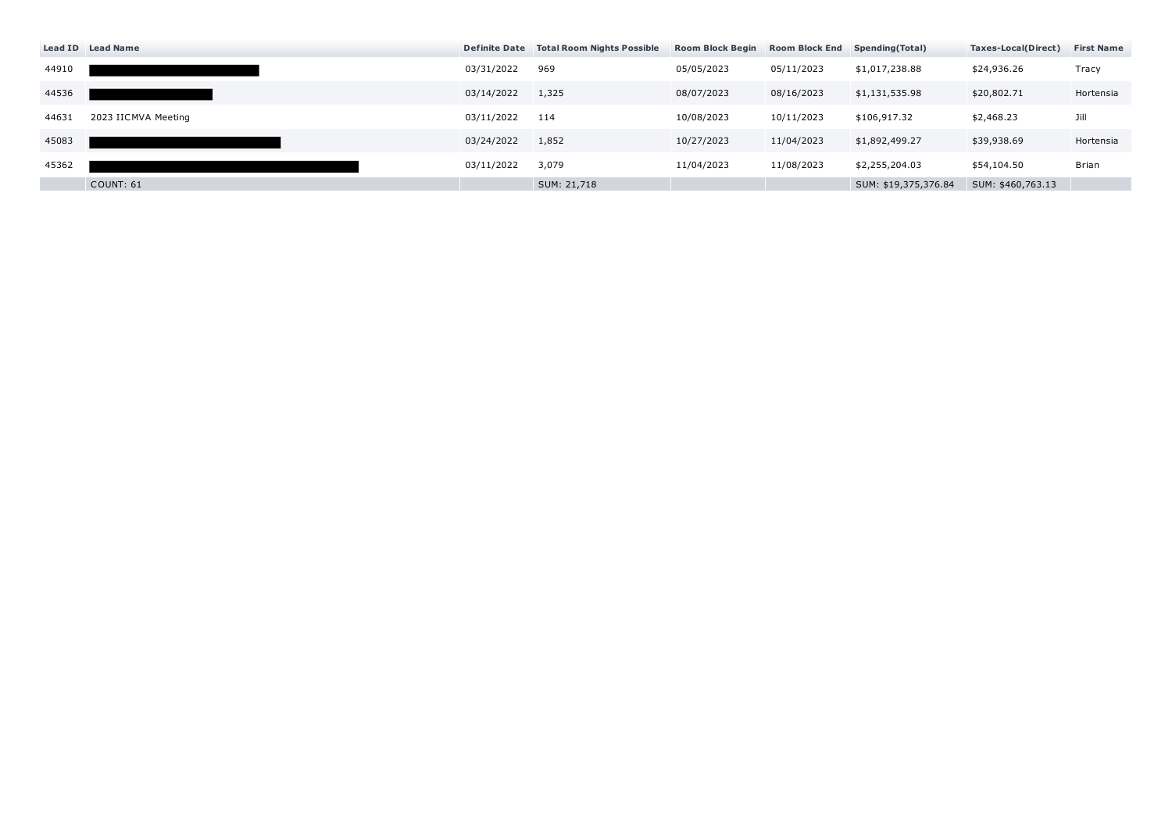|       | Lead ID Lead Name   |            | Definite Date Total Room Nights Possible | <b>Room Block Begin</b> | <b>Room Block End</b> | Spending (Total)     | Taxes-Local(Direct) | <b>First Name</b> |
|-------|---------------------|------------|------------------------------------------|-------------------------|-----------------------|----------------------|---------------------|-------------------|
| 44910 |                     | 03/31/2022 | 969                                      | 05/05/2023              | 05/11/2023            | \$1,017,238.88       | \$24,936.26         | Tracy             |
| 44536 |                     | 03/14/2022 | 1,325                                    | 08/07/2023              | 08/16/2023            | \$1,131,535.98       | \$20,802.71         | Hortensia         |
| 44631 | 2023 IICMVA Meeting | 03/11/2022 | 114                                      | 10/08/2023              | 10/11/2023            | \$106,917.32         | \$2,468.23          | Jill              |
| 45083 |                     | 03/24/2022 | 1,852                                    | 10/27/2023              | 11/04/2023            | \$1,892,499.27       | \$39,938.69         | Hortensia         |
| 45362 |                     | 03/11/2022 | 3,079                                    | 11/04/2023              | 11/08/2023            | \$2,255,204.03       | \$54,104.50         | Brian             |
|       | COUNT: 61           |            | SUM: 21,718                              |                         |                       | SUM: \$19,375,376.84 | SUM: \$460,763.13   |                   |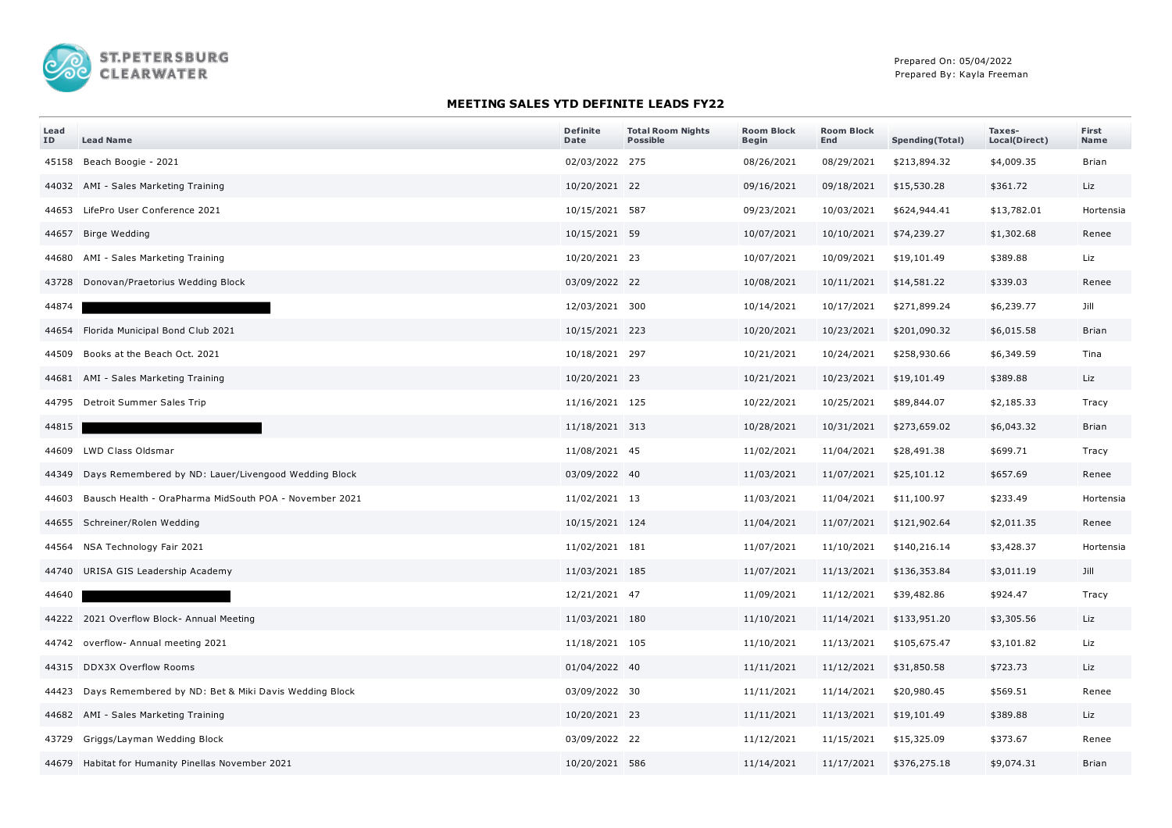

## **MEETING SALES YTD DEFINITE LEADS FY22**

| Lead<br>ID | <b>Lead Name</b>                                             | <b>Definite</b><br>Date | <b>Total Room Nights</b><br><b>Possible</b> | <b>Room Block</b><br><b>Begin</b> | <b>Room Block</b><br>End | <b>Spending(Total)</b> | Taxes-<br>Local(Direct) | First<br>Name |
|------------|--------------------------------------------------------------|-------------------------|---------------------------------------------|-----------------------------------|--------------------------|------------------------|-------------------------|---------------|
|            | 45158 Beach Boogie - 2021                                    | 02/03/2022 275          |                                             | 08/26/2021                        | 08/29/2021               | \$213,894.32           | \$4,009.35              | <b>Brian</b>  |
|            | 44032 AMI - Sales Marketing Training                         | 10/20/2021 22           |                                             | 09/16/2021                        | 09/18/2021               | \$15,530.28            | \$361.72                | Liz           |
|            | 44653 LifePro User Conference 2021                           | 10/15/2021 587          |                                             | 09/23/2021                        | 10/03/2021               | \$624,944.41           | \$13,782.01             | Hortensia     |
|            | 44657 Birge Wedding                                          | 10/15/2021 59           |                                             | 10/07/2021                        | 10/10/2021               | \$74,239.27            | \$1,302.68              | Renee         |
|            | 44680 AMI - Sales Marketing Training                         | 10/20/2021 23           |                                             | 10/07/2021                        | 10/09/2021               | \$19,101.49            | \$389.88                | Liz           |
|            | 43728 Donovan/Praetorius Wedding Block                       | 03/09/2022 22           |                                             | 10/08/2021                        | 10/11/2021               | \$14,581.22            | \$339.03                | Renee         |
| 44874      |                                                              | 12/03/2021 300          |                                             | 10/14/2021                        | 10/17/2021               | \$271,899.24           | \$6,239.77              | Jill          |
|            | 44654 Florida Municipal Bond Club 2021                       | 10/15/2021 223          |                                             | 10/20/2021                        | 10/23/2021               | \$201,090.32           | \$6,015.58              | <b>Brian</b>  |
|            | 44509 Books at the Beach Oct. 2021                           | 10/18/2021 297          |                                             | 10/21/2021                        | 10/24/2021               | \$258,930.66           | \$6,349.59              | Tina          |
|            | 44681 AMI - Sales Marketing Training                         | 10/20/2021 23           |                                             | 10/21/2021                        | 10/23/2021               | \$19,101.49            | \$389.88                | Liz           |
|            | 44795 Detroit Summer Sales Trip                              | 11/16/2021 125          |                                             | 10/22/2021                        | 10/25/2021               | \$89,844.07            | \$2,185.33              | Tracy         |
| 44815      |                                                              | 11/18/2021 313          |                                             | 10/28/2021                        | 10/31/2021               | \$273,659.02           | \$6,043.32              | Brian         |
|            | 44609 LWD Class Oldsmar                                      | 11/08/2021 45           |                                             | 11/02/2021                        | 11/04/2021               | \$28,491.38            | \$699.71                | Tracy         |
|            | 44349 Days Remembered by ND: Lauer/Livengood Wedding Block   | 03/09/2022 40           |                                             | 11/03/2021                        | 11/07/2021               | \$25,101.12            | \$657.69                | Renee         |
|            | 44603 Bausch Health - OraPharma MidSouth POA - November 2021 | 11/02/2021 13           |                                             | 11/03/2021                        | 11/04/2021               | \$11,100.97            | \$233.49                | Hortensia     |
|            | 44655 Schreiner/Rolen Wedding                                | 10/15/2021 124          |                                             | 11/04/2021                        | 11/07/2021               | \$121,902.64           | \$2,011.35              | Renee         |
|            | 44564 NSA Technology Fair 2021                               | 11/02/2021 181          |                                             | 11/07/2021                        | 11/10/2021               | \$140,216.14           | \$3,428.37              | Hortensia     |
|            | 44740 URISA GIS Leadership Academy                           | 11/03/2021 185          |                                             | 11/07/2021                        | 11/13/2021               | \$136,353.84           | \$3,011.19              | Jill          |
| 44640      |                                                              | 12/21/2021 47           |                                             | 11/09/2021                        | 11/12/2021               | \$39,482.86            | \$924.47                | Tracy         |
|            | 44222 2021 Overflow Block- Annual Meeting                    | 11/03/2021 180          |                                             | 11/10/2021                        | 11/14/2021               | \$133,951.20           | \$3,305.56              | Liz           |
|            | 44742 overflow- Annual meeting 2021                          | 11/18/2021 105          |                                             | 11/10/2021                        | 11/13/2021               | \$105,675.47           | \$3,101.82              | Liz           |
|            | 44315 DDX3X Overflow Rooms                                   | 01/04/2022 40           |                                             | 11/11/2021                        | 11/12/2021               | \$31,850.58            | \$723.73                | Liz           |
|            | 44423 Days Remembered by ND: Bet & Miki Davis Wedding Block  | 03/09/2022 30           |                                             | 11/11/2021                        | 11/14/2021               | \$20,980.45            | \$569.51                | Renee         |
|            | 44682 AMI - Sales Marketing Training                         | 10/20/2021 23           |                                             | 11/11/2021                        | 11/13/2021               | \$19,101.49            | \$389.88                | Liz           |
|            | 43729 Griggs/Layman Wedding Block                            | 03/09/2022 22           |                                             | 11/12/2021                        | 11/15/2021               | \$15,325.09            | \$373.67                | Renee         |
|            | 44679 Habitat for Humanity Pinellas November 2021            | 10/20/2021 586          |                                             | 11/14/2021                        | 11/17/2021               | \$376,275.18           | \$9,074.31              | <b>Brian</b>  |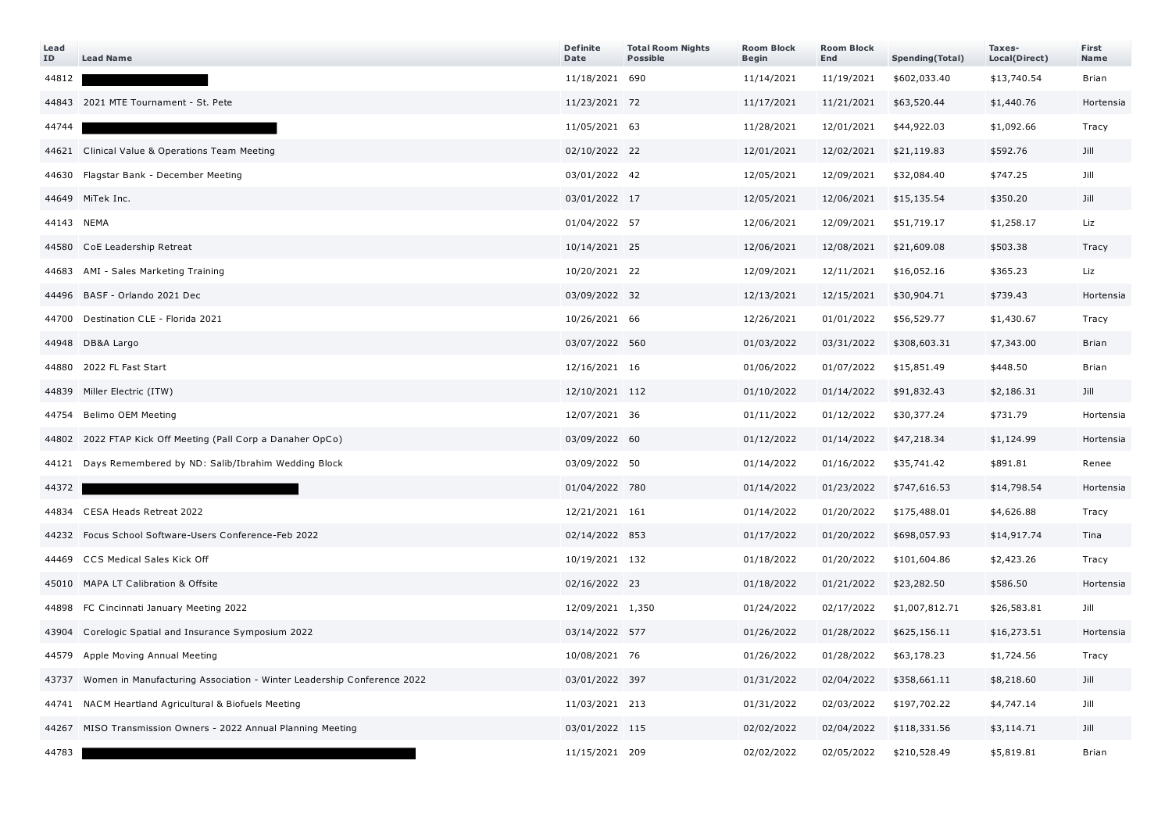| Lead<br>ID | <b>Lead Name</b>                                                       | <b>Definite</b><br>Date | <b>Total Room Nights</b><br><b>Possible</b> | <b>Room Block</b><br><b>Begin</b> | <b>Room Block</b><br>End | Spending(Total) | Taxes-<br>Local(Direct) | First<br>Name |
|------------|------------------------------------------------------------------------|-------------------------|---------------------------------------------|-----------------------------------|--------------------------|-----------------|-------------------------|---------------|
| 44812      |                                                                        | 11/18/2021 690          |                                             | 11/14/2021                        | 11/19/2021               | \$602,033.40    | \$13,740.54             | Brian         |
|            | 44843 2021 MTE Tournament - St. Pete                                   | 11/23/2021 72           |                                             | 11/17/2021                        | 11/21/2021               | \$63,520.44     | \$1,440.76              | Hortensia     |
| 44744      |                                                                        | 11/05/2021 63           |                                             | 11/28/2021                        | 12/01/2021               | \$44,922.03     | \$1,092.66              | Tracy         |
|            | 44621 Clinical Value & Operations Team Meeting                         | 02/10/2022 22           |                                             | 12/01/2021                        | 12/02/2021               | \$21,119.83     | \$592.76                | Jill          |
|            | 44630 Flagstar Bank - December Meeting                                 | 03/01/2022 42           |                                             | 12/05/2021                        | 12/09/2021               | \$32,084.40     | \$747.25                | Jill          |
|            | 44649 MiTek Inc.                                                       | 03/01/2022 17           |                                             | 12/05/2021                        | 12/06/2021               | \$15,135.54     | \$350.20                | Jill          |
| 44143 NEMA |                                                                        | 01/04/2022 57           |                                             | 12/06/2021                        | 12/09/2021               | \$51,719.17     | \$1,258.17              | Liz           |
|            | 44580 CoE Leadership Retreat                                           | 10/14/2021 25           |                                             | 12/06/2021                        | 12/08/2021               | \$21,609.08     | \$503.38                | Tracy         |
|            | 44683 AMI - Sales Marketing Training                                   | 10/20/2021 22           |                                             | 12/09/2021                        | 12/11/2021               | \$16,052.16     | \$365.23                | Liz           |
|            | 44496 BASF - Orlando 2021 Dec                                          | 03/09/2022 32           |                                             | 12/13/2021                        | 12/15/2021               | \$30,904.71     | \$739.43                | Hortensia     |
|            | 44700 Destination CLE - Florida 2021                                   | 10/26/2021 66           |                                             | 12/26/2021                        | 01/01/2022               | \$56,529.77     | \$1,430.67              | Tracy         |
|            | 44948 DB&A Largo                                                       | 03/07/2022 560          |                                             | 01/03/2022                        | 03/31/2022               | \$308,603.31    | \$7,343.00              | <b>Brian</b>  |
| 44880      | 2022 FL Fast Start                                                     | 12/16/2021 16           |                                             | 01/06/2022                        | 01/07/2022               | \$15,851.49     | \$448.50                | <b>Brian</b>  |
| 44839      | Miller Electric (ITW)                                                  | 12/10/2021 112          |                                             | 01/10/2022                        | 01/14/2022               | \$91,832.43     | \$2,186.31              | Jill          |
|            | 44754 Belimo OEM Meeting                                               | 12/07/2021 36           |                                             | 01/11/2022                        | 01/12/2022               | \$30,377.24     | \$731.79                | Hortensia     |
|            | 44802 2022 FTAP Kick Off Meeting (Pall Corp a Danaher OpCo)            | 03/09/2022 60           |                                             | 01/12/2022                        | 01/14/2022               | \$47,218.34     | \$1,124.99              | Hortensia     |
|            | 44121 Days Remembered by ND: Salib/Ibrahim Wedding Block               | 03/09/2022 50           |                                             | 01/14/2022                        | 01/16/2022               | \$35,741.42     | \$891.81                | Renee         |
| 44372      |                                                                        | 01/04/2022 780          |                                             | 01/14/2022                        | 01/23/2022               | \$747,616.53    | \$14,798.54             | Hortensia     |
|            | 44834 CESA Heads Retreat 2022                                          | 12/21/2021 161          |                                             | 01/14/2022                        | 01/20/2022               | \$175,488.01    | \$4,626.88              | Tracy         |
| 44232      | Focus School Software-Users Conference-Feb 2022                        | 02/14/2022 853          |                                             | 01/17/2022                        | 01/20/2022               | \$698,057.93    | \$14,917.74             | Tina          |
|            | 44469 CCS Medical Sales Kick Off                                       | 10/19/2021 132          |                                             | 01/18/2022                        | 01/20/2022               | \$101,604.86    | \$2,423.26              | Tracy         |
|            | 45010 MAPA LT Calibration & Offsite                                    | 02/16/2022 23           |                                             | 01/18/2022                        | 01/21/2022               | \$23,282.50     | \$586.50                | Hortensia     |
|            | 44898 FC Cincinnati January Meeting 2022                               | 12/09/2021 1,350        |                                             | 01/24/2022                        | 02/17/2022               | \$1,007,812.71  | \$26,583.81             | Jill          |
| 43904      | Corelogic Spatial and Insurance Symposium 2022                         | 03/14/2022 577          |                                             | 01/26/2022                        | 01/28/2022               | \$625,156.11    | \$16,273.51             | Hortensia     |
|            | 44579 Apple Moving Annual Meeting                                      | 10/08/2021 76           |                                             | 01/26/2022                        | 01/28/2022               | \$63,178.23     | \$1,724.56              | Tracy         |
| 43737      | Women in Manufacturing Association - Winter Leadership Conference 2022 | 03/01/2022 397          |                                             | 01/31/2022                        | 02/04/2022               | \$358,661.11    | \$8,218.60              | Jill          |
|            | 44741 NACM Heartland Agricultural & Biofuels Meeting                   | 11/03/2021 213          |                                             | 01/31/2022                        | 02/03/2022               | \$197,702.22    | \$4,747.14              | Jill          |
| 44267      | MISO Transmission Owners - 2022 Annual Planning Meeting                | 03/01/2022 115          |                                             | 02/02/2022                        | 02/04/2022               | \$118,331.56    | \$3,114.71              | Jill          |
| 44783      |                                                                        | 11/15/2021 209          |                                             | 02/02/2022                        | 02/05/2022               | \$210,528.49    | \$5,819.81              | <b>Brian</b>  |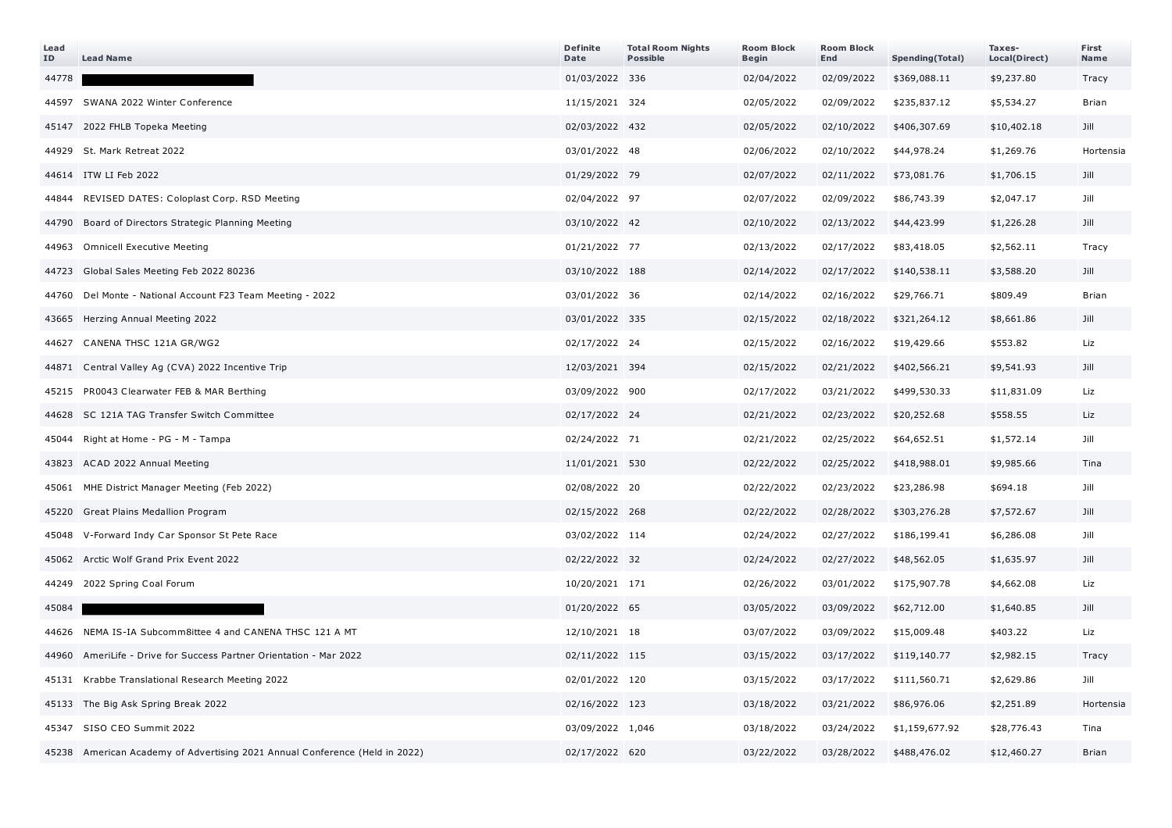| Lead<br>ID | <b>Lead Name</b>                                                            | <b>Definite</b><br>Date | <b>Total Room Nights</b><br><b>Possible</b> | <b>Room Block</b><br>Begin | <b>Room Block</b><br>End | Spending(Total) | Taxes-<br>Local(Direct) | First<br>Name |
|------------|-----------------------------------------------------------------------------|-------------------------|---------------------------------------------|----------------------------|--------------------------|-----------------|-------------------------|---------------|
| 44778      |                                                                             | 01/03/2022 336          |                                             | 02/04/2022                 | 02/09/2022               | \$369,088.11    | \$9,237.80              | Tracy         |
|            | 44597 SWANA 2022 Winter Conference                                          | 11/15/2021 324          |                                             | 02/05/2022                 | 02/09/2022               | \$235,837.12    | \$5,534.27              | <b>Brian</b>  |
| 45147      | 2022 FHLB Topeka Meeting                                                    | 02/03/2022 432          |                                             | 02/05/2022                 | 02/10/2022               | \$406,307.69    | \$10,402.18             | Jill          |
|            | 44929 St. Mark Retreat 2022                                                 | 03/01/2022 48           |                                             | 02/06/2022                 | 02/10/2022               | \$44,978.24     | \$1,269.76              | Hortensia     |
|            | 44614 ITW LI Feb 2022                                                       | 01/29/2022 79           |                                             | 02/07/2022                 | 02/11/2022               | \$73,081.76     | \$1,706.15              | Jill          |
| 44844      | REVISED DATES: Coloplast Corp. RSD Meeting                                  | 02/04/2022 97           |                                             | 02/07/2022                 | 02/09/2022               | \$86,743.39     | \$2,047.17              | Jill          |
| 44790      | Board of Directors Strategic Planning Meeting                               | 03/10/2022 42           |                                             | 02/10/2022                 | 02/13/2022               | \$44,423.99     | \$1,226.28              | Jill          |
| 44963      | <b>Omnicell Executive Meeting</b>                                           | 01/21/2022 77           |                                             | 02/13/2022                 | 02/17/2022               | \$83,418.05     | \$2,562.11              | Tracy         |
| 44723      | Global Sales Meeting Feb 2022 80236                                         | 03/10/2022 188          |                                             | 02/14/2022                 | 02/17/2022               | \$140,538.11    | \$3,588.20              | Jill          |
|            | 44760 Del Monte - National Account F23 Team Meeting - 2022                  | 03/01/2022 36           |                                             | 02/14/2022                 | 02/16/2022               | \$29,766.71     | \$809.49                | <b>Brian</b>  |
| 43665      | Herzing Annual Meeting 2022                                                 | 03/01/2022 335          |                                             | 02/15/2022                 | 02/18/2022               | \$321,264.12    | \$8,661.86              | Jill          |
| 44627      | CANENA THSC 121A GR/WG2                                                     | 02/17/2022 24           |                                             | 02/15/2022                 | 02/16/2022               | \$19,429.66     | \$553.82                | Liz           |
|            | 44871 Central Valley Ag (CVA) 2022 Incentive Trip                           | 12/03/2021 394          |                                             | 02/15/2022                 | 02/21/2022               | \$402,566.21    | \$9,541.93              | Jill          |
| 45215      | PR0043 Clearwater FEB & MAR Berthing                                        | 03/09/2022 900          |                                             | 02/17/2022                 | 03/21/2022               | \$499,530.33    | \$11,831.09             | Liz           |
|            | 44628 SC 121A TAG Transfer Switch Committee                                 | 02/17/2022 24           |                                             | 02/21/2022                 | 02/23/2022               | \$20,252.68     | \$558.55                | Liz           |
| 45044      | Right at Home - PG - M - Tampa                                              | 02/24/2022 71           |                                             | 02/21/2022                 | 02/25/2022               | \$64,652.51     | \$1,572.14              | Jill          |
| 43823      | ACAD 2022 Annual Meeting                                                    | 11/01/2021 530          |                                             | 02/22/2022                 | 02/25/2022               | \$418,988.01    | \$9,985.66              | Tina          |
| 45061      | MHE District Manager Meeting (Feb 2022)                                     | 02/08/2022 20           |                                             | 02/22/2022                 | 02/23/2022               | \$23,286.98     | \$694.18                | Jill          |
| 45220      | Great Plains Medallion Program                                              | 02/15/2022 268          |                                             | 02/22/2022                 | 02/28/2022               | \$303,276.28    | \$7,572.67              | Jill          |
| 45048      | V-Forward Indy Car Sponsor St Pete Race                                     | 03/02/2022 114          |                                             | 02/24/2022                 | 02/27/2022               | \$186,199.41    | \$6,286.08              | Jill          |
| 45062      | Arctic Wolf Grand Prix Event 2022                                           | 02/22/2022 32           |                                             | 02/24/2022                 | 02/27/2022               | \$48,562.05     | \$1,635.97              | Jill          |
| 44249      | 2022 Spring Coal Forum                                                      | 10/20/2021 171          |                                             | 02/26/2022                 | 03/01/2022               | \$175,907.78    | \$4,662.08              | Liz           |
| 45084      |                                                                             | 01/20/2022 65           |                                             | 03/05/2022                 | 03/09/2022               | \$62,712.00     | \$1,640.85              | Jill          |
|            | 44626 NEMA IS-IA Subcomm8ittee 4 and CANENA THSC 121 A MT                   | 12/10/2021 18           |                                             | 03/07/2022                 | 03/09/2022               | \$15,009.48     | \$403.22                | Liz           |
| 44960      | AmeriLife - Drive for Success Partner Orientation - Mar 2022                | 02/11/2022 115          |                                             | 03/15/2022                 | 03/17/2022               | \$119,140.77    | \$2,982.15              | Tracy         |
| 45131      | Krabbe Translational Research Meeting 2022                                  | 02/01/2022 120          |                                             | 03/15/2022                 | 03/17/2022               | \$111,560.71    | \$2,629.86              | Jill          |
| 45133      | The Big Ask Spring Break 2022                                               | 02/16/2022 123          |                                             | 03/18/2022                 | 03/21/2022               | \$86,976.06     | \$2,251.89              | Hortensia     |
| 45347      | SISO CEO Summit 2022                                                        | 03/09/2022 1,046        |                                             | 03/18/2022                 | 03/24/2022               | \$1,159,677.92  | \$28,776.43             | Tina          |
|            | 45238 American Academy of Advertising 2021 Annual Conference (Held in 2022) | 02/17/2022 620          |                                             | 03/22/2022                 | 03/28/2022               | \$488,476.02    | \$12,460.27             | <b>Brian</b>  |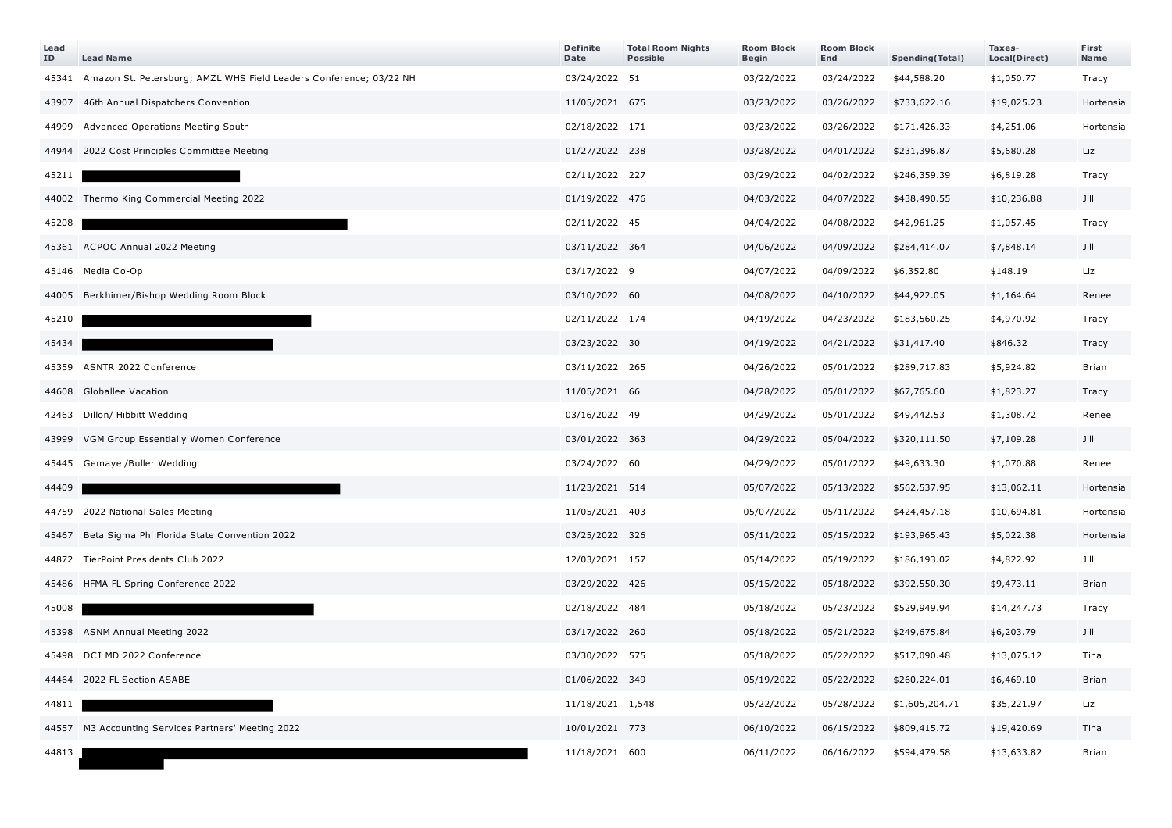| Lead<br>ΙD | <b>Lead Name</b>                                                   | <b>Definite</b><br>Date | <b>Total Room Nights</b><br><b>Possible</b> | <b>Room Block</b><br>Begin | <b>Room Block</b><br>End | Spending(Total) | Taxes-<br>Local(Direct) | First<br>Name |
|------------|--------------------------------------------------------------------|-------------------------|---------------------------------------------|----------------------------|--------------------------|-----------------|-------------------------|---------------|
| 45341      | Amazon St. Petersburg; AMZL WHS Field Leaders Conference; 03/22 NH | 03/24/2022 51           |                                             | 03/22/2022                 | 03/24/2022               | \$44,588.20     | \$1,050.77              | Tracy         |
| 43907      | 46th Annual Dispatchers Convention                                 | 11/05/2021 675          |                                             | 03/23/2022                 | 03/26/2022               | \$733,622.16    | \$19,025.23             | Hortensia     |
| 44999      | Advanced Operations Meeting South                                  | 02/18/2022 171          |                                             | 03/23/2022                 | 03/26/2022               | \$171,426.33    | \$4,251.06              | Hortensia     |
|            | 44944 2022 Cost Principles Committee Meeting                       | 01/27/2022 238          |                                             | 03/28/2022                 | 04/01/2022               | \$231,396.87    | \$5,680.28              | Liz           |
| 45211      |                                                                    | 02/11/2022 227          |                                             | 03/29/2022                 | 04/02/2022               | \$246,359.39    | \$6,819.28              | Tracy         |
|            | 44002 Thermo King Commercial Meeting 2022                          | 01/19/2022 476          |                                             | 04/03/2022                 | 04/07/2022               | \$438,490.55    | \$10,236.88             | Jill          |
| 45208      |                                                                    | 02/11/2022 45           |                                             | 04/04/2022                 | 04/08/2022               | \$42,961.25     | \$1,057.45              | Tracy         |
|            | 45361 ACPOC Annual 2022 Meeting                                    | 03/11/2022 364          |                                             | 04/06/2022                 | 04/09/2022               | \$284,414.07    | \$7,848.14              | Jill          |
|            | 45146 Media Co-Op                                                  | 03/17/2022 9            |                                             | 04/07/2022                 | 04/09/2022               | \$6,352.80      | \$148.19                | Liz           |
|            | 44005 Berkhimer/Bishop Wedding Room Block                          | 03/10/2022 60           |                                             | 04/08/2022                 | 04/10/2022               | \$44,922.05     | \$1,164.64              | Renee         |
| 45210      |                                                                    | 02/11/2022 174          |                                             | 04/19/2022                 | 04/23/2022               | \$183,560.25    | \$4,970.92              | Tracy         |
| 45434      |                                                                    | 03/23/2022 30           |                                             | 04/19/2022                 | 04/21/2022               | \$31,417.40     | \$846.32                | Tracy         |
| 45359      | ASNTR 2022 Conference                                              | 03/11/2022 265          |                                             | 04/26/2022                 | 05/01/2022               | \$289,717.83    | \$5,924.82              | <b>Brian</b>  |
| 44608      | Globallee Vacation                                                 | 11/05/2021 66           |                                             | 04/28/2022                 | 05/01/2022               | \$67,765.60     | \$1,823.27              | Tracy         |
|            | 42463 Dillon/ Hibbitt Wedding                                      | 03/16/2022 49           |                                             | 04/29/2022                 | 05/01/2022               | \$49,442.53     | \$1,308.72              | Renee         |
| 43999      | VGM Group Essentially Women Conference                             | 03/01/2022 363          |                                             | 04/29/2022                 | 05/04/2022               | \$320,111.50    | \$7,109.28              | Jill          |
|            | 45445 Gemayel/Buller Wedding                                       | 03/24/2022 60           |                                             | 04/29/2022                 | 05/01/2022               | \$49,633.30     | \$1,070.88              | Renee         |
| 44409      |                                                                    | 11/23/2021 514          |                                             | 05/07/2022                 | 05/13/2022               | \$562,537.95    | \$13,062.11             | Hortensia     |
|            | 44759 2022 National Sales Meeting                                  | 11/05/2021 403          |                                             | 05/07/2022                 | 05/11/2022               | \$424,457.18    | \$10,694.81             | Hortensia     |
| 45467      | Beta Sigma Phi Florida State Convention 2022                       | 03/25/2022 326          |                                             | 05/11/2022                 | 05/15/2022               | \$193,965.43    | \$5,022.38              | Hortensia     |
|            | 44872 TierPoint Presidents Club 2022                               | 12/03/2021 157          |                                             | 05/14/2022                 | 05/19/2022               | \$186,193.02    | \$4,822.92              | Jill          |
|            | 45486 HFMA FL Spring Conference 2022                               | 03/29/2022 426          |                                             | 05/15/2022                 | 05/18/2022               | \$392,550.30    | \$9,473.11              | <b>Brian</b>  |
| 45008      |                                                                    | 02/18/2022 484          |                                             | 05/18/2022                 | 05/23/2022               | \$529,949.94    | \$14,247.73             | Tracy         |
|            | 45398 ASNM Annual Meeting 2022                                     | 03/17/2022 260          |                                             | 05/18/2022                 | 05/21/2022               | \$249,675.84    | \$6,203.79              | Jill          |
|            | 45498 DCI MD 2022 Conference                                       | 03/30/2022 575          |                                             | 05/18/2022                 | 05/22/2022               | \$517,090.48    | \$13,075.12             | Tina          |
|            | 44464 2022 FL Section ASABE                                        | 01/06/2022 349          |                                             | 05/19/2022                 | 05/22/2022               | \$260,224.01    | \$6,469.10              | <b>Brian</b>  |
| 44811      |                                                                    | 11/18/2021 1,548        |                                             | 05/22/2022                 | 05/28/2022               | \$1,605,204.71  | \$35,221.97             | Liz           |
|            | 44557 M3 Accounting Services Partners' Meeting 2022                | 10/01/2021 773          |                                             | 06/10/2022                 | 06/15/2022               | \$809,415.72    | \$19,420.69             | Tina          |
| 44813      |                                                                    | 11/18/2021 600          |                                             | 06/11/2022                 | 06/16/2022               | \$594,479.58    | \$13,633.82             | <b>Brian</b>  |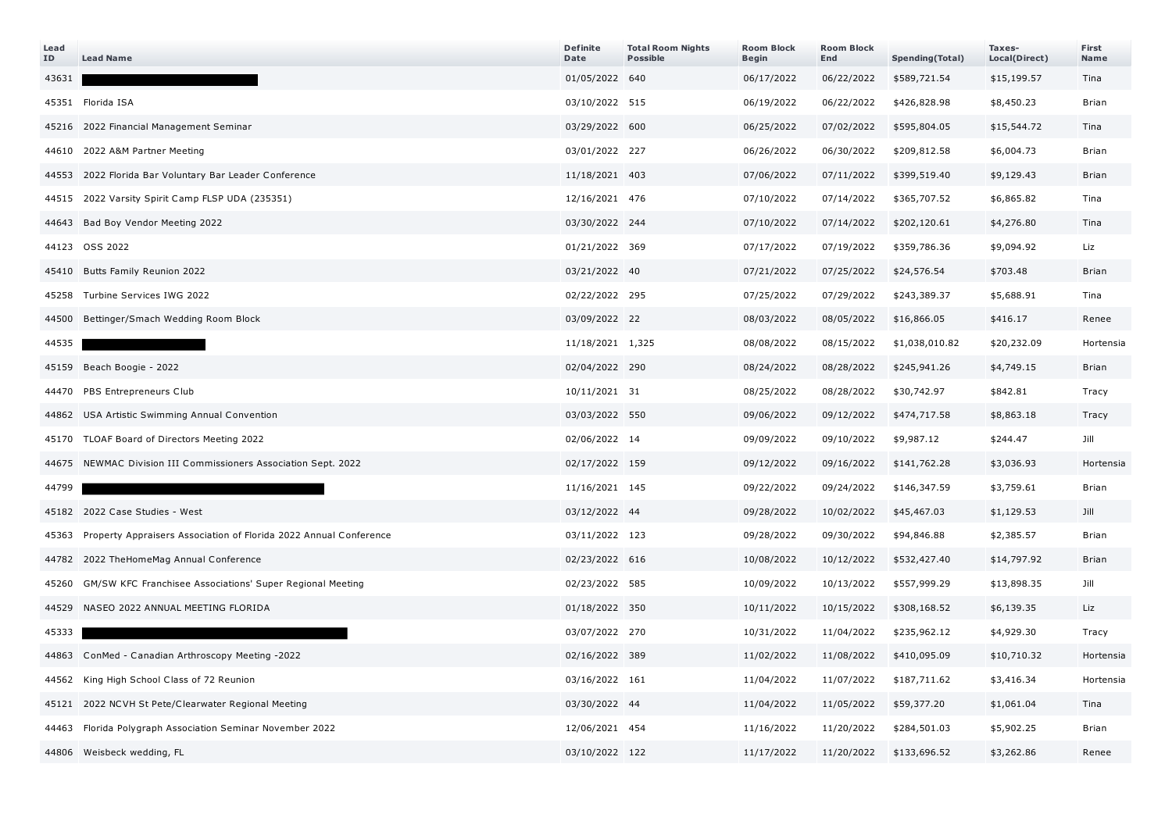| Lead<br>ID | <b>Lead Name</b>                                                  | <b>Definite</b><br>Date | <b>Total Room Nights</b><br><b>Possible</b> | <b>Room Block</b><br>Begin | <b>Room Block</b><br>End | Spending(Total) | Taxes-<br>Local(Direct) | First<br>Name |
|------------|-------------------------------------------------------------------|-------------------------|---------------------------------------------|----------------------------|--------------------------|-----------------|-------------------------|---------------|
| 43631      |                                                                   | 01/05/2022 640          |                                             | 06/17/2022                 | 06/22/2022               | \$589,721.54    | \$15,199.57             | Tina          |
|            | 45351 Florida ISA                                                 | 03/10/2022 515          |                                             | 06/19/2022                 | 06/22/2022               | \$426,828.98    | \$8,450.23              | <b>Brian</b>  |
|            | 45216 2022 Financial Management Seminar                           | 03/29/2022 600          |                                             | 06/25/2022                 | 07/02/2022               | \$595,804.05    | \$15,544.72             | Tina          |
|            | 44610 2022 A&M Partner Meeting                                    | 03/01/2022 227          |                                             | 06/26/2022                 | 06/30/2022               | \$209,812.58    | \$6,004.73              | <b>Brian</b>  |
| 44553      | 2022 Florida Bar Voluntary Bar Leader Conference                  | 11/18/2021 403          |                                             | 07/06/2022                 | 07/11/2022               | \$399,519.40    | \$9,129.43              | <b>Brian</b>  |
|            | 44515 2022 Varsity Spirit Camp FLSP UDA (235351)                  | 12/16/2021 476          |                                             | 07/10/2022                 | 07/14/2022               | \$365,707.52    | \$6,865.82              | Tina          |
|            | 44643 Bad Boy Vendor Meeting 2022                                 | 03/30/2022 244          |                                             | 07/10/2022                 | 07/14/2022               | \$202,120.61    | \$4,276.80              | Tina          |
|            | 44123 OSS 2022                                                    | 01/21/2022 369          |                                             | 07/17/2022                 | 07/19/2022               | \$359,786.36    | \$9,094.92              | Liz           |
|            | 45410 Butts Family Reunion 2022                                   | 03/21/2022 40           |                                             | 07/21/2022                 | 07/25/2022               | \$24,576.54     | \$703.48                | <b>Brian</b>  |
|            | 45258 Turbine Services IWG 2022                                   | 02/22/2022 295          |                                             | 07/25/2022                 | 07/29/2022               | \$243,389.37    | \$5,688.91              | Tina          |
|            | 44500 Bettinger/Smach Wedding Room Block                          | 03/09/2022 22           |                                             | 08/03/2022                 | 08/05/2022               | \$16,866.05     | \$416.17                | Renee         |
| 44535      |                                                                   | 11/18/2021 1,325        |                                             | 08/08/2022                 | 08/15/2022               | \$1,038,010.82  | \$20,232.09             | Hortensia     |
|            | 45159 Beach Boogie - 2022                                         | 02/04/2022 290          |                                             | 08/24/2022                 | 08/28/2022               | \$245,941.26    | \$4,749.15              | Brian         |
|            | 44470 PBS Entrepreneurs Club                                      | 10/11/2021 31           |                                             | 08/25/2022                 | 08/28/2022               | \$30,742.97     | \$842.81                | Tracy         |
|            | 44862 USA Artistic Swimming Annual Convention                     | 03/03/2022 550          |                                             | 09/06/2022                 | 09/12/2022               | \$474,717.58    | \$8,863.18              | Tracy         |
|            | 45170 TLOAF Board of Directors Meeting 2022                       | 02/06/2022 14           |                                             | 09/09/2022                 | 09/10/2022               | \$9,987.12      | \$244.47                | Jill          |
| 44675      | NEWMAC Division III Commissioners Association Sept. 2022          | 02/17/2022 159          |                                             | 09/12/2022                 | 09/16/2022               | \$141,762.28    | \$3,036.93              | Hortensia     |
| 44799      |                                                                   | 11/16/2021 145          |                                             | 09/22/2022                 | 09/24/2022               | \$146,347.59    | \$3,759.61              | Brian         |
|            | 45182 2022 Case Studies - West                                    | 03/12/2022 44           |                                             | 09/28/2022                 | 10/02/2022               | \$45,467.03     | \$1,129.53              | Jill          |
| 45363      | Property Appraisers Association of Florida 2022 Annual Conference | 03/11/2022 123          |                                             | 09/28/2022                 | 09/30/2022               | \$94,846.88     | \$2,385.57              | <b>Brian</b>  |
|            | 44782 2022 TheHomeMag Annual Conference                           | 02/23/2022 616          |                                             | 10/08/2022                 | 10/12/2022               | \$532,427.40    | \$14,797.92             | Brian         |
| 45260      | GM/SW KFC Franchisee Associations' Super Regional Meeting         | 02/23/2022 585          |                                             | 10/09/2022                 | 10/13/2022               | \$557,999.29    | \$13,898.35             | Jill          |
| 44529      | NASEO 2022 ANNUAL MEETING FLORIDA                                 | 01/18/2022 350          |                                             | 10/11/2022                 | 10/15/2022               | \$308,168.52    | \$6,139.35              | Liz           |
| 45333      |                                                                   | 03/07/2022 270          |                                             | 10/31/2022                 | 11/04/2022               | \$235,962.12    | \$4,929.30              | Tracy         |
|            | 44863 ConMed - Canadian Arthroscopy Meeting -2022                 | 02/16/2022 389          |                                             | 11/02/2022                 | 11/08/2022               | \$410,095.09    | \$10,710.32             | Hortensia     |
| 44562      | King High School Class of 72 Reunion                              | 03/16/2022 161          |                                             | 11/04/2022                 | 11/07/2022               | \$187,711.62    | \$3,416.34              | Hortensia     |
|            | 45121 2022 NCVH St Pete/Clearwater Regional Meeting               | 03/30/2022 44           |                                             | 11/04/2022                 | 11/05/2022               | \$59,377.20     | \$1,061.04              | Tina          |
| 44463      | Florida Polygraph Association Seminar November 2022               | 12/06/2021 454          |                                             | 11/16/2022                 | 11/20/2022               | \$284,501.03    | \$5,902.25              | <b>Brian</b>  |
|            | 44806 Weisbeck wedding, FL                                        | 03/10/2022 122          |                                             | 11/17/2022                 | 11/20/2022               | \$133,696.52    | \$3,262.86              | Renee         |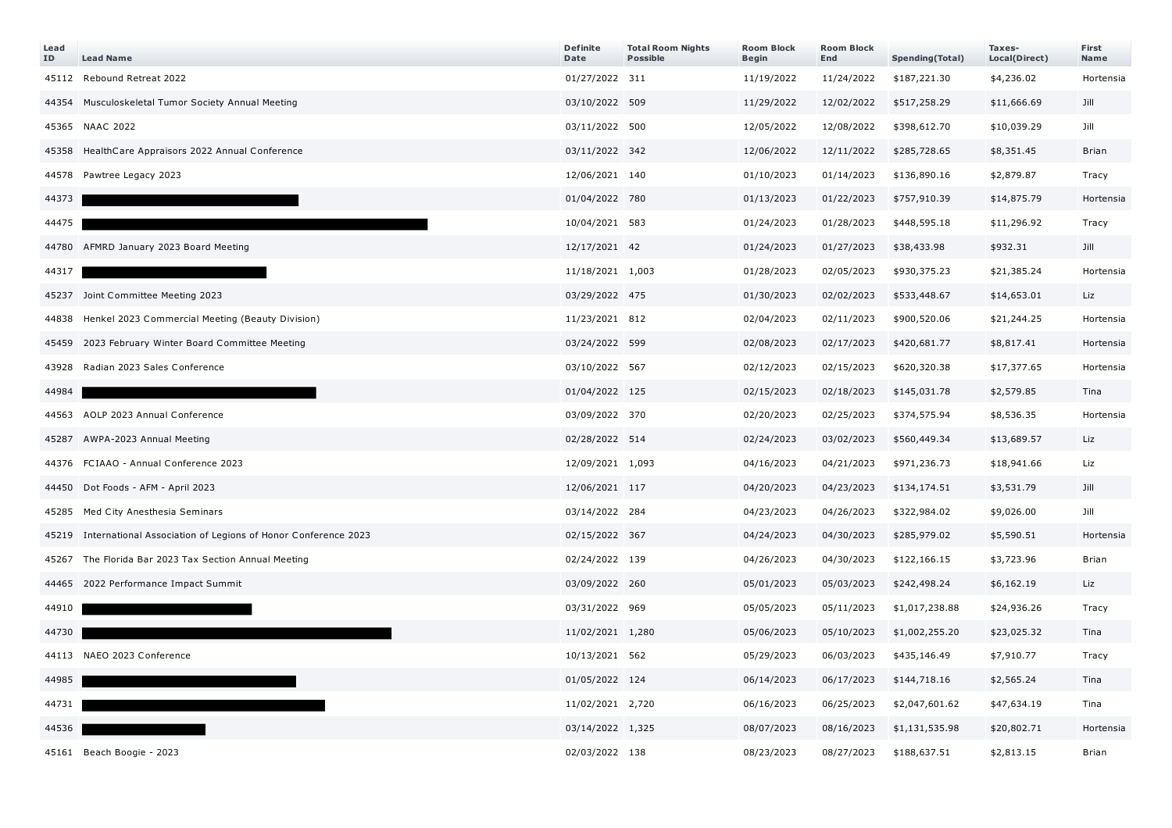| Lead<br>ID | <b>Lead Name</b>                                                    | <b>Definite</b><br>Date | <b>Total Room Nights</b><br><b>Possible</b> | <b>Room Block</b><br>Begin | <b>Room Block</b><br>End | Spending(Total) | Taxes-<br>Local(Direct) | First<br>Name |
|------------|---------------------------------------------------------------------|-------------------------|---------------------------------------------|----------------------------|--------------------------|-----------------|-------------------------|---------------|
|            | 45112 Rebound Retreat 2022                                          | 01/27/2022 311          |                                             | 11/19/2022                 | 11/24/2022               | \$187,221.30    | \$4,236.02              | Hortensia     |
|            | 44354 Musculoskeletal Tumor Society Annual Meeting                  | 03/10/2022 509          |                                             | 11/29/2022                 | 12/02/2022               | \$517,258.29    | \$11,666.69             | Jill          |
|            | 45365 NAAC 2022                                                     | 03/11/2022 500          |                                             | 12/05/2022                 | 12/08/2022               | \$398,612.70    | \$10,039.29             | Jill          |
|            | 45358 HealthCare Appraisors 2022 Annual Conference                  | 03/11/2022 342          |                                             | 12/06/2022                 | 12/11/2022               | \$285,728.65    | \$8,351.45              | <b>Brian</b>  |
|            | 44578 Pawtree Legacy 2023                                           | 12/06/2021 140          |                                             | 01/10/2023                 | 01/14/2023               | \$136,890.16    | \$2,879.87              | Tracy         |
| 44373      |                                                                     | 01/04/2022 780          |                                             | 01/13/2023                 | 01/22/2023               | \$757,910.39    | \$14,875.79             | Hortensia     |
| 44475      |                                                                     | 10/04/2021 583          |                                             | 01/24/2023                 | 01/28/2023               | \$448,595.18    | \$11,296.92             | Tracy         |
|            | 44780 AFMRD January 2023 Board Meeting                              | 12/17/2021 42           |                                             | 01/24/2023                 | 01/27/2023               | \$38,433.98     | \$932.31                | Jill          |
| 44317      |                                                                     | 11/18/2021 1,003        |                                             | 01/28/2023                 | 02/05/2023               | \$930,375.23    | \$21,385.24             | Hortensia     |
|            | 45237 Joint Committee Meeting 2023                                  | 03/29/2022 475          |                                             | 01/30/2023                 | 02/02/2023               | \$533,448.67    | \$14,653.01             | Liz           |
|            | 44838 Henkel 2023 Commercial Meeting (Beauty Division)              | 11/23/2021 812          |                                             | 02/04/2023                 | 02/11/2023               | \$900,520.06    | \$21,244.25             | Hortensia     |
|            | 45459 2023 February Winter Board Committee Meeting                  | 03/24/2022 599          |                                             | 02/08/2023                 | 02/17/2023               | \$420,681.77    | \$8,817.41              | Hortensia     |
| 43928      | Radian 2023 Sales Conference                                        | 03/10/2022 567          |                                             | 02/12/2023                 | 02/15/2023               | \$620,320.38    | \$17,377.65             | Hortensia     |
| 44984      |                                                                     | 01/04/2022 125          |                                             | 02/15/2023                 | 02/18/2023               | \$145,031.78    | \$2,579.85              | Tina          |
|            | 44563 AOLP 2023 Annual Conference                                   | 03/09/2022 370          |                                             | 02/20/2023                 | 02/25/2023               | \$374,575.94    | \$8,536.35              | Hortensia     |
|            | 45287 AWPA-2023 Annual Meeting                                      | 02/28/2022 514          |                                             | 02/24/2023                 | 03/02/2023               | \$560,449.34    | \$13,689.57             | Liz           |
|            | 44376 FCIAAO - Annual Conference 2023                               | 12/09/2021 1,093        |                                             | 04/16/2023                 | 04/21/2023               | \$971,236.73    | \$18,941.66             | Liz           |
|            | 44450 Dot Foods - AFM - April 2023                                  | 12/06/2021 117          |                                             | 04/20/2023                 | 04/23/2023               | \$134,174.51    | \$3,531.79              | Jill          |
|            | 45285 Med City Anesthesia Seminars                                  | 03/14/2022 284          |                                             | 04/23/2023                 | 04/26/2023               | \$322,984.02    | \$9,026.00              | Jill          |
|            | 45219 International Association of Legions of Honor Conference 2023 | 02/15/2022 367          |                                             | 04/24/2023                 | 04/30/2023               | \$285,979.02    | \$5,590.51              | Hortensia     |
|            | 45267 The Florida Bar 2023 Tax Section Annual Meeting               | 02/24/2022 139          |                                             | 04/26/2023                 | 04/30/2023               | \$122,166.15    | \$3,723.96              | Brian         |
|            | 44465 2022 Performance Impact Summit                                | 03/09/2022 260          |                                             | 05/01/2023                 | 05/03/2023               | \$242,498.24    | \$6,162.19              | Liz           |
| 44910      |                                                                     | 03/31/2022 969          |                                             | 05/05/2023                 | 05/11/2023               | \$1,017,238.88  | \$24,936.26             | Tracy         |
| 44730      |                                                                     | 11/02/2021 1,280        |                                             | 05/06/2023                 | 05/10/2023               | \$1,002,255.20  | \$23,025.32             | Tina          |
|            | 44113 NAEO 2023 Conference                                          | 10/13/2021 562          |                                             | 05/29/2023                 | 06/03/2023               | \$435,146.49    | \$7,910.77              | Tracy         |
| 44985      |                                                                     | 01/05/2022 124          |                                             | 06/14/2023                 | 06/17/2023               | \$144,718.16    | \$2,565.24              | Tina          |
| 44731      |                                                                     | 11/02/2021 2,720        |                                             | 06/16/2023                 | 06/25/2023               | \$2,047,601.62  | \$47,634.19             | Tina          |
| 44536      |                                                                     | 03/14/2022 1,325        |                                             | 08/07/2023                 | 08/16/2023               | \$1,131,535.98  | \$20,802.71             | Hortensia     |
|            | 45161 Beach Boogie - 2023                                           | 02/03/2022 138          |                                             | 08/23/2023                 | 08/27/2023               | \$188,637.51    | \$2,813.15              | Brian         |